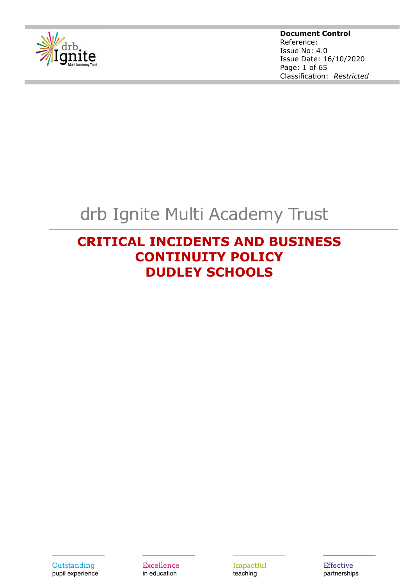

**Document Control** Reference: Issue No: 4.0 Issue Date: 16/10/2020 Page: 1 of 65 Classification: *Restricted*

# drb Ignite Multi Academy Trust

# **CRITICAL INCIDENTS AND BUSINESS CONTINUITY POLICY DUDLEY SCHOOLS**

Outstanding pupil experience Excellence in education

Impactful teaching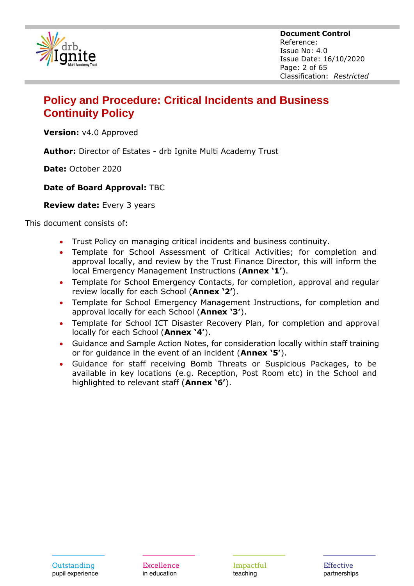

**Document Control** Reference: Issue No: 4.0 Issue Date: 16/10/2020 Page: 2 of 65 Classification: *Restricted*

# **Policy and Procedure: Critical Incidents and Business Continuity Policy**

**Version:** v4.0 Approved

**Author:** Director of Estates - drb Ignite Multi Academy Trust

**Date:** October 2020

## **Date of Board Approval:** TBC

#### **Review date:** Every 3 years

This document consists of:

- Trust Policy on managing critical incidents and business continuity.
- Template for School Assessment of Critical Activities; for completion and approval locally, and review by the Trust Finance Director, this will inform the local Emergency Management Instructions (**Annex '1'**).
- Template for School Emergency Contacts, for completion, approval and regular review locally for each School (**Annex '2'**).
- Template for School Emergency Management Instructions, for completion and approval locally for each School (**Annex '3'**).
- Template for School ICT Disaster Recovery Plan, for completion and approval locally for each School (**Annex '4'**).
- Guidance and Sample Action Notes, for consideration locally within staff training or for guidance in the event of an incident (**Annex '5'**).
- Guidance for staff receiving Bomb Threats or Suspicious Packages, to be available in key locations (e.g. Reception, Post Room etc) in the School and highlighted to relevant staff (**Annex '6'**).

Excellence in education

Impactful teaching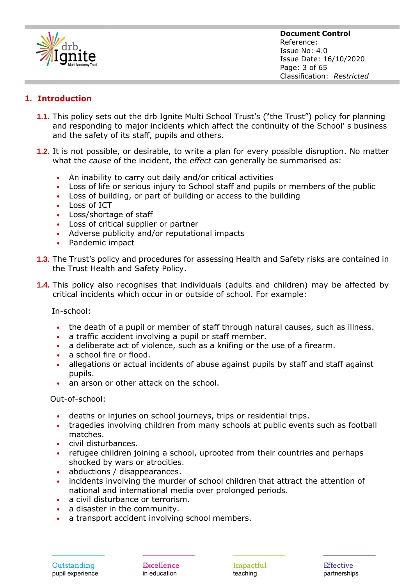

**Document Control** Reference: Issue No: 4.0 Issue Date: 16/10/2020 Page: 3 of 65 Classification: *Restricted*

## **1. Introduction**

- **1.1.** This policy sets out the drb Ignite Multi School Trust's ("the Trust") policy for planning and responding to major incidents which affect the continuity of the School' s business and the safety of its staff, pupils and others.
- **1.2.** It is not possible, or desirable, to write a plan for every possible disruption. No matter what the *cause* of the incident, the *effect* can generally be summarised as:
	- An inability to carry out daily and/or critical activities
	- Loss of life or serious injury to School staff and pupils or members of the public
	- Loss of building, or part of building or access to the building
	- Loss of ICT
	- Loss/shortage of staff
	- Loss of critical supplier or partner
	- Adverse publicity and/or reputational impacts
	- Pandemic impact
- **1.3.** The Trust's policy and procedures for assessing Health and Safety risks are contained in the Trust Health and Safety Policy.
- **1.4.** This policy also recognises that individuals (adults and children) may be affected by critical incidents which occur in or outside of school. For example:

In-school:

- the death of a pupil or member of staff through natural causes, such as illness.
- a traffic accident involving a pupil or staff member.
- a deliberate act of violence, such as a knifing or the use of a firearm.
- a school fire or flood.
- allegations or actual incidents of abuse against pupils by staff and staff against pupils.
- an arson or other attack on the school.

Out-of-school:

- deaths or injuries on school journeys, trips or residential trips.
- tragedies involving children from many schools at public events such as football matches.
- civil disturbances.
- refugee children joining a school, uprooted from their countries and perhaps shocked by wars or atrocities.
- abductions / disappearances.
- incidents involving the murder of school children that attract the attention of national and international media over prolonged periods.
- a civil disturbance or terrorism.
- a disaster in the community.
- a transport accident involving school members.

**Excellence** in education

Impactful teaching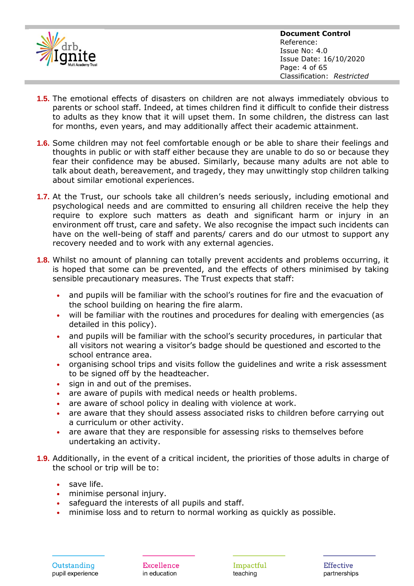

- **1.5.** The emotional effects of disasters on children are not always immediately obvious to parents or school staff. Indeed, at times children find it difficult to confide their distress to adults as they know that it will upset them. In some children, the distress can last for months, even years, and may additionally affect their academic attainment.
- **1.6.** Some children may not feel comfortable enough or be able to share their feelings and thoughts in public or with staff either because they are unable to do so or because they fear their confidence may be abused. Similarly, because many adults are not able to talk about death, bereavement, and tragedy, they may unwittingly stop children talking about similar emotional experiences.
- **1.7.** At the Trust, our schools take all children's needs seriously, including emotional and psychological needs and are committed to ensuring all children receive the help they require to explore such matters as death and significant harm or injury in an environment off trust, care and safety. We also recognise the impact such incidents can have on the well-being of staff and parents/ carers and do our utmost to support any recovery needed and to work with any external agencies.
- **1.8.** Whilst no amount of planning can totally prevent accidents and problems occurring, it is hoped that some can be prevented, and the effects of others minimised by taking sensible precautionary measures. The Trust expects that staff:
	- and pupils will be familiar with the school's routines for fire and the evacuation of the school building on hearing the fire alarm.
	- will be familiar with the routines and procedures for dealing with emergencies (as detailed in this policy).
	- and pupils will be familiar with the school's security procedures, in particular that all visitors not wearing a visitor's badge should be questioned and escorted to the school entrance area.
	- organising school trips and visits follow the guidelines and write a risk assessment to be signed off by the headteacher.
	- sign in and out of the premises.
	- are aware of pupils with medical needs or health problems.
	- are aware of school policy in dealing with violence at work.
	- are aware that they should assess associated risks to children before carrying out a curriculum or other activity.
	- are aware that they are responsible for assessing risks to themselves before undertaking an activity.
- **1.9.** Additionally, in the event of a critical incident, the priorities of those adults in charge of the school or trip will be to:
	- save life.
	- minimise personal injury.
	- safeguard the interests of all pupils and staff.
	- minimise loss and to return to normal working as quickly as possible.

Excellence in education

Impactful teaching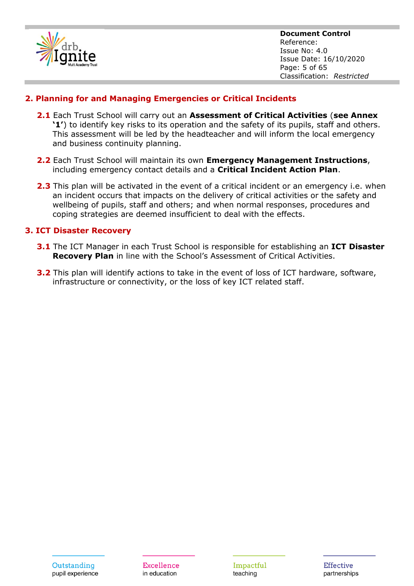

## **2. Planning for and Managing Emergencies or Critical Incidents**

- **2.1** Each Trust School will carry out an **Assessment of Critical Activities** (**see Annex '1'**) to identify key risks to its operation and the safety of its pupils, staff and others. This assessment will be led by the headteacher and will inform the local emergency and business continuity planning.
- **2.2** Each Trust School will maintain its own **Emergency Management Instructions**, including emergency contact details and a **Critical Incident Action Plan**.
- **2.3** This plan will be activated in the event of a critical incident or an emergency i.e. when an incident occurs that impacts on the delivery of critical activities or the safety and wellbeing of pupils, staff and others; and when normal responses, procedures and coping strategies are deemed insufficient to deal with the effects.

#### **3. ICT Disaster Recovery**

- **3.1** The ICT Manager in each Trust School is responsible for establishing an **ICT Disaster Recovery Plan** in line with the School's Assessment of Critical Activities.
- **3.2** This plan will identify actions to take in the event of loss of ICT hardware, software, infrastructure or connectivity, or the loss of key ICT related staff.

Excellence in education

Impactful teaching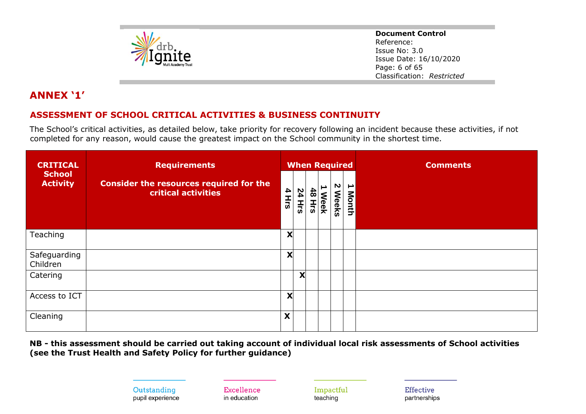

**Document Control** Reference: Issue No: 3.0 Issue Date: 16/10/2020 Page: 6 of 65 Classification: *Restricted*

# **ANNEX '1'**

## **ASSESSMENT OF SCHOOL CRITICAL ACTIVITIES & BUSINESS CONTINUITY**

The School's critical activities, as detailed below, take priority for recovery following an incident because these activities, if not completed for any reason, would cause the greatest impact on the School community in the shortest time.

| <b>CRITICAL</b>                  | <b>Requirements</b>                                                                                                                                                                  |       | <b>When Required</b> |                      |                  |                   |            | <b>Comments</b> |
|----------------------------------|--------------------------------------------------------------------------------------------------------------------------------------------------------------------------------------|-------|----------------------|----------------------|------------------|-------------------|------------|-----------------|
| <b>School</b><br><b>Activity</b> | <b>Consider the resources required for the</b><br>critical activities                                                                                                                | 4 Hrs | <b>24 Hrs</b>        | $\frac{4}{8}$<br>Hrs | ∸<br><b>Week</b> | N<br><b>Weeks</b> | ∸<br>Month |                 |
| Teaching                         |                                                                                                                                                                                      | X     |                      |                      |                  |                   |            |                 |
| Safeguarding<br>Children         |                                                                                                                                                                                      | X     |                      |                      |                  |                   |            |                 |
| Catering                         |                                                                                                                                                                                      |       | X                    |                      |                  |                   |            |                 |
| Access to ICT                    |                                                                                                                                                                                      | X     |                      |                      |                  |                   |            |                 |
| Cleaning                         |                                                                                                                                                                                      | X     |                      |                      |                  |                   |            |                 |
|                                  | NB - this assessment should be carried out taking account of individual local risk assessments of School activities<br>(see the Trust Health and Safety Policy for further guidance) |       |                      |                      |                  |                   |            |                 |

Outstanding pupil experience

Excellence in education

Impactful teaching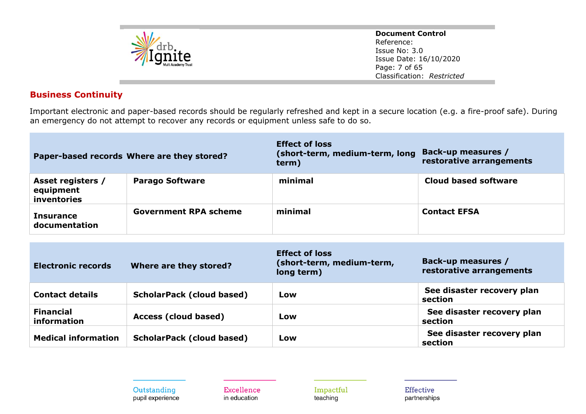

**Document Control** Reference: Issue No: 3.0 Issue Date: 16/10/2020 Page: 7 of 65 Classification: *Restricted*

## **Business Continuity**

Important electronic and paper-based records should be regularly refreshed and kept in a secure location (e.g. a fire-proof safe). During an emergency do not attempt to recover any records or equipment unless safe to do so.

|                                                      | Paper-based records Where are they stored? | <b>Effect of loss</b><br>(short-term, medium-term, long<br>term) | Back-up measures /<br>restorative arrangements |
|------------------------------------------------------|--------------------------------------------|------------------------------------------------------------------|------------------------------------------------|
| Asset registers /<br>equipment<br><i>inventories</i> | <b>Parago Software</b>                     | minimal                                                          | Cloud based software                           |
| Insurance<br>documentation                           | <b>Government RPA scheme</b>               | minimal                                                          | <b>Contact EFSA</b>                            |

| <b>Electronic records</b>              | Where are they stored?           | <b>Effect of loss</b><br>(short-term, medium-term,<br>long term) | Back-up measures /<br>restorative arrangements |
|----------------------------------------|----------------------------------|------------------------------------------------------------------|------------------------------------------------|
| <b>Contact details</b>                 | <b>ScholarPack (cloud based)</b> | Low                                                              | See disaster recovery plan<br>section          |
| <b>Financial</b><br><i>information</i> | Access (cloud based)             | Low                                                              | See disaster recovery plan<br>section          |
| <b>Medical information</b>             | <b>ScholarPack (cloud based)</b> | Low                                                              | See disaster recovery plan<br>section          |

Outstanding pupil experience Excellence in education

Impactful teaching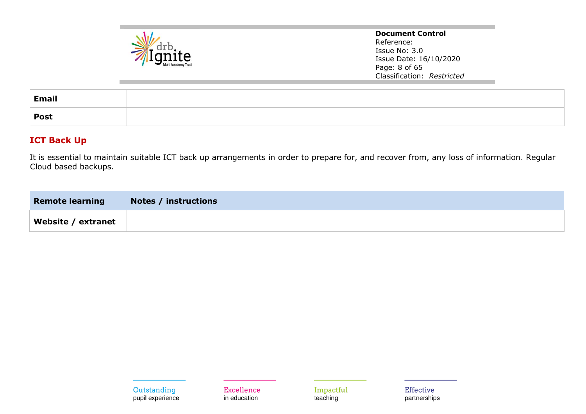

**Document Control** Reference: Issue No: 3.0 Issue Date: 16/10/2020 Page: 8 of 65 Classification: *Restricted*

| <b>Email</b> |  |
|--------------|--|
| <b>Post</b>  |  |

## **ICT Back Up**

It is essential to maintain suitable ICT back up arrangements in order to prepare for, and recover from, any loss of information. Regular Cloud based backups.

| <b>Remote learning</b> | <b>Notes / instructions</b> |
|------------------------|-----------------------------|
| Website / extranet     |                             |

Excellence in education

Impactful teaching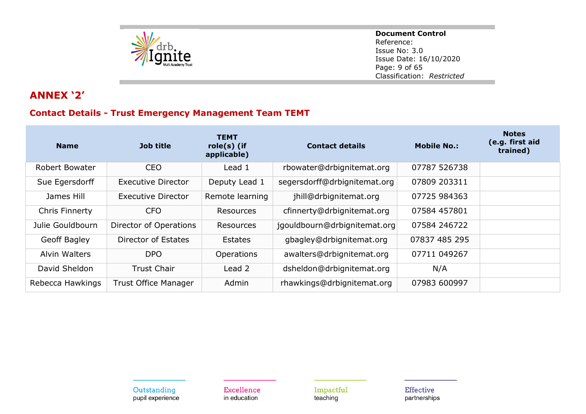

**Document Control** Reference: Issue No: 3.0 Issue Date: 16/10/2020 Page: 9 of 65 Classification: *Restricted*

# **ANNEX '2'**

# **Contact Details - Trust Emergency Management Team TEMT**

| <b>Name</b>           | <b>Job title</b>            | <b>TEMT</b><br>$role(s)$ (if<br>applicable) | <b>Contact details</b>       | <b>Mobile No.:</b> | <b>Notes</b><br>(e.g. first aid<br>trained) |
|-----------------------|-----------------------------|---------------------------------------------|------------------------------|--------------------|---------------------------------------------|
| Robert Bowater        | <b>CEO</b>                  | Lead 1                                      | rbowater@drbignitemat.org    | 07787 526738       |                                             |
| Sue Egersdorff        | <b>Executive Director</b>   | Deputy Lead 1                               | segersdorff@drbignitemat.org | 07809 203311       |                                             |
| James Hill            | <b>Executive Director</b>   | Remote learning                             | jhill@drbignitemat.org       | 07725 984363       |                                             |
| <b>Chris Finnerty</b> | <b>CFO</b>                  | <b>Resources</b>                            | cfinnerty@drbignitemat.org   | 07584 457801       |                                             |
| Julie Gouldbourn      | Director of Operations      | <b>Resources</b>                            | jgouldbourn@drbignitemat.org | 07584 246722       |                                             |
| Geoff Bagley          | Director of Estates         | Estates                                     | gbagley@drbignitemat.org     | 07837 485 295      |                                             |
| Alvin Walters         | <b>DPO</b>                  | Operations                                  | awalters@drbignitemat.org    | 07711 049267       |                                             |
| David Sheldon         | <b>Trust Chair</b>          | Lead 2                                      | dsheldon@drbignitemat.org    | N/A                |                                             |
| Rebecca Hawkings      | <b>Trust Office Manager</b> | Admin                                       | rhawkings@drbignitemat.org   | 07983 600997       |                                             |

Outstanding pupil experience Excellence in education

Impactful teaching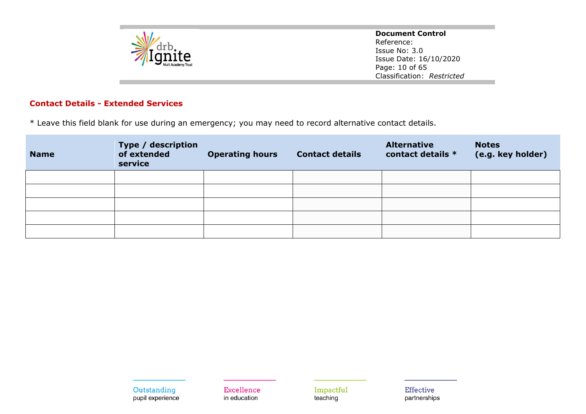

**Document Control** Reference: Issue No: 3.0 Issue Date: 16/10/2020 Page: 10 of 65 Classification: *Restricted*

#### **Contact Details - Extended Services**

\* Leave this field blank for use during an emergency; you may need to record alternative contact details.

| <b>Name</b> | Type / description<br>of extended<br>service | <b>Operating hours</b> | <b>Contact details</b> | <b>Alternative</b><br>contact details * | <b>Notes</b><br>(e.g. key holder) |
|-------------|----------------------------------------------|------------------------|------------------------|-----------------------------------------|-----------------------------------|
|             |                                              |                        |                        |                                         |                                   |
|             |                                              |                        |                        |                                         |                                   |
|             |                                              |                        |                        |                                         |                                   |
|             |                                              |                        |                        |                                         |                                   |
|             |                                              |                        |                        |                                         |                                   |

Outstanding pupil experience Excellence in education

Impactful teaching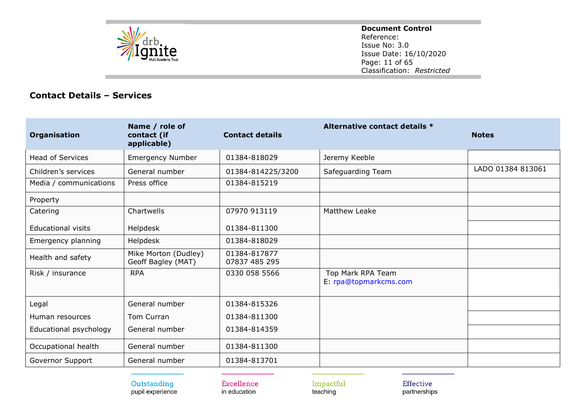

**Document Control** Reference: Issue No: 3.0 Issue Date: 16/10/2020 Page: 11 of 65 Classification: *Restricted*

## **Contact Details – Services**

| Organisation              | Name / role of<br>contact (if<br>applicable) | <b>Contact details</b>        | Alternative contact details *              | <b>Notes</b>      |
|---------------------------|----------------------------------------------|-------------------------------|--------------------------------------------|-------------------|
| <b>Head of Services</b>   | <b>Emergency Number</b>                      | 01384-818029                  | Jeremy Keeble                              |                   |
| Children's services       | General number                               | 01384-814225/3200             | Safeguarding Team                          | LADO 01384 813061 |
| Media / communications    | Press office                                 | 01384-815219                  |                                            |                   |
| Property                  |                                              |                               |                                            |                   |
| Catering                  | Chartwells                                   | 07970 913119                  | Matthew Leake                              |                   |
| <b>Educational visits</b> | Helpdesk                                     | 01384-811300                  |                                            |                   |
| Emergency planning        | Helpdesk                                     | 01384-818029                  |                                            |                   |
| Health and safety         | Mike Morton (Dudley)<br>Geoff Bagley (MAT)   | 01384-817877<br>07837 485 295 |                                            |                   |
| Risk / insurance          | <b>RPA</b>                                   | 0330 058 5566                 | Top Mark RPA Team<br>E: rpa@topmarkcms.com |                   |
| Legal                     | General number                               | 01384-815326                  |                                            |                   |
| Human resources           | Tom Curran                                   | 01384-811300                  |                                            |                   |
| Educational psychology    | General number                               | 01384-814359                  |                                            |                   |
| Occupational health       | General number                               | 01384-811300                  |                                            |                   |
| Governor Support          | General number                               | 01384-813701                  |                                            |                   |

Outstanding pupil experience Excellence in education

Impactful teaching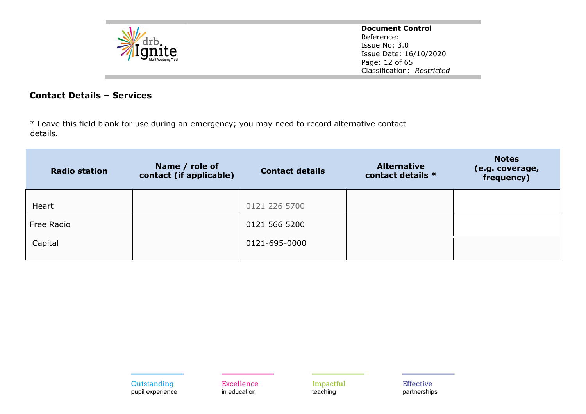

**Document Control** Reference: Issue No: 3.0 Issue Date: 16/10/2020 Page: 12 of 65 Classification: *Restricted*

## **Contact Details – Services**

\* Leave this field blank for use during an emergency; you may need to record alternative contact details.

| <b>Radio station</b> | Name / role of<br>contact (if applicable) | <b>Contact details</b> | <b>Alternative</b><br>contact details * | <b>Notes</b><br>(e.g. coverage,<br>frequency) |
|----------------------|-------------------------------------------|------------------------|-----------------------------------------|-----------------------------------------------|
| Heart                |                                           | 0121 226 5700          |                                         |                                               |
| Free Radio           |                                           | 0121 566 5200          |                                         |                                               |
| Capital              |                                           | 0121-695-0000          |                                         |                                               |

Excellence in education

Impactful teaching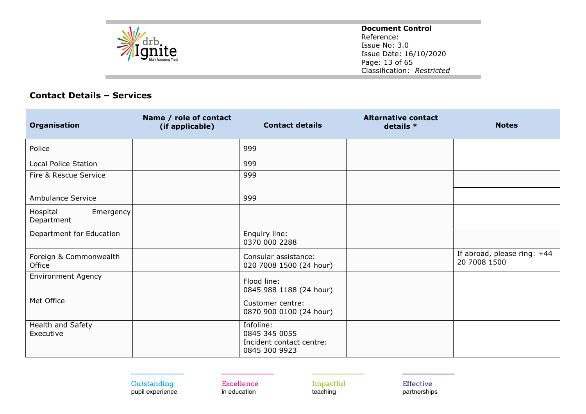

**Document Control** Reference: Issue No: 3.0 Issue Date: 16/10/2020 Page: 13 of 65 Classification: *Restricted*

## **Contact Details – Services**

| Organisation                        | Name / role of contact<br>(if applicable) | <b>Contact details</b>                                                  | <b>Alternative contact</b><br>details * | <b>Notes</b>                                |
|-------------------------------------|-------------------------------------------|-------------------------------------------------------------------------|-----------------------------------------|---------------------------------------------|
| Police                              |                                           | 999                                                                     |                                         |                                             |
| <b>Local Police Station</b>         |                                           | 999                                                                     |                                         |                                             |
| Fire & Rescue Service               |                                           | 999                                                                     |                                         |                                             |
| Ambulance Service                   |                                           | 999                                                                     |                                         |                                             |
| Hospital<br>Emergency<br>Department |                                           |                                                                         |                                         |                                             |
| Department for Education            |                                           | Enquiry line:<br>0370 000 2288                                          |                                         |                                             |
| Foreign & Commonwealth<br>Office    |                                           | Consular assistance:<br>020 7008 1500 (24 hour)                         |                                         | If abroad, please ring: +44<br>20 7008 1500 |
| <b>Environment Agency</b>           |                                           | Flood line:<br>0845 988 1188 (24 hour)                                  |                                         |                                             |
| Met Office                          |                                           | Customer centre:<br>0870 900 0100 (24 hour)                             |                                         |                                             |
| Health and Safety<br>Executive      |                                           | Infoline:<br>0845 345 0055<br>Incident contact centre:<br>0845 300 9923 |                                         |                                             |

Outstanding pupil experience

Excellence in education

Impactful teaching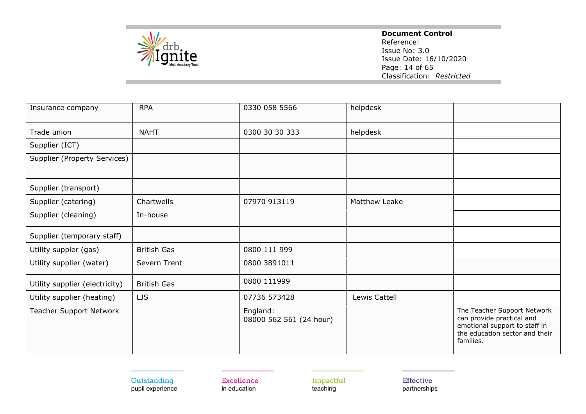

#### **Document Control**

Reference: Issue No: 3.0 Issue Date: 16/10/2020 Page: 14 of 65 Classification: *Restricted*

| Insurance company              | <b>RPA</b>         | 0330 058 5566                       | helpdesk             |                                                                                                                                          |
|--------------------------------|--------------------|-------------------------------------|----------------------|------------------------------------------------------------------------------------------------------------------------------------------|
| Trade union                    | <b>NAHT</b>        | 0300 30 30 333                      | helpdesk             |                                                                                                                                          |
| Supplier (ICT)                 |                    |                                     |                      |                                                                                                                                          |
| Supplier (Property Services)   |                    |                                     |                      |                                                                                                                                          |
| Supplier (transport)           |                    |                                     |                      |                                                                                                                                          |
| Supplier (catering)            | Chartwells         | 07970 913119                        | <b>Matthew Leake</b> |                                                                                                                                          |
| Supplier (cleaning)            | In-house           |                                     |                      |                                                                                                                                          |
| Supplier (temporary staff)     |                    |                                     |                      |                                                                                                                                          |
| Utility suppler (gas)          | <b>British Gas</b> | 0800 111 999                        |                      |                                                                                                                                          |
| Utility supplier (water)       | Severn Trent       | 0800 3891011                        |                      |                                                                                                                                          |
| Utility supplier (electricity) | <b>British Gas</b> | 0800 111999                         |                      |                                                                                                                                          |
| Utility supplier (heating)     | LJS                | 07736 573428                        | Lewis Cattell        |                                                                                                                                          |
| <b>Teacher Support Network</b> |                    | England:<br>08000 562 561 (24 hour) |                      | The Teacher Support Network<br>can provide practical and<br>emotional support to staff in<br>the education sector and their<br>families. |

Outstanding pupil experience Excellence in education

Impactful teaching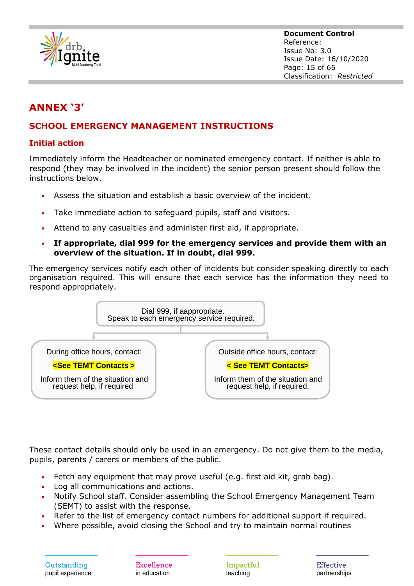

**Document Control** Reference: Issue No: 3.0 Issue Date: 16/10/2020 Page: 15 of 65 Classification: *Restricted*

# **ANNEX '3'**

## **SCHOOL EMERGENCY MANAGEMENT INSTRUCTIONS**

## **Initial action**

Immediately inform the Headteacher or nominated emergency contact. If neither is able to respond (they may be involved in the incident) the senior person present should follow the instructions below.

- Assess the situation and establish a basic overview of the incident.
- Take immediate action to safeguard pupils, staff and visitors.
- Attend to any casualties and administer first aid, if appropriate.
- **If appropriate, dial 999 for the emergency services and provide them with an overview of the situation. If in doubt, dial 999.**

The emergency services notify each other of incidents but consider speaking directly to each organisation required. This will ensure that each service has the information they need to respond appropriately.



These contact details should only be used in an emergency. Do not give them to the media, pupils, parents / carers or members of the public.

- Fetch any equipment that may prove useful (e.g. first aid kit, grab bag).
- Log all communications and actions.
- Notify School staff. Consider assembling the School Emergency Management Team (SEMT) to assist with the response.
- Refer to the list of emergency contact numbers for additional support if required.
- Where possible, avoid closing the School and try to maintain normal routines

Excellence in education

Impactful teaching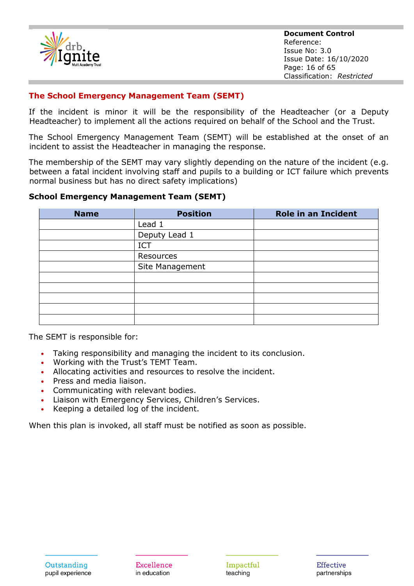

**Document Control** Reference: Issue No: 3.0 Issue Date: 16/10/2020 Page: 16 of 65 Classification: *Restricted*

#### **The School Emergency Management Team (SEMT)**

If the incident is minor it will be the responsibility of the Headteacher (or a Deputy Headteacher) to implement all the actions required on behalf of the School and the Trust.

The School Emergency Management Team (SEMT) will be established at the onset of an incident to assist the Headteacher in managing the response.

The membership of the SEMT may vary slightly depending on the nature of the incident (e.g. between a fatal incident involving staff and pupils to a building or ICT failure which prevents normal business but has no direct safety implications)

#### **School Emergency Management Team (SEMT)**

| <b>Name</b> | <b>Position</b> | <b>Role in an Incident</b> |
|-------------|-----------------|----------------------------|
|             | Lead 1          |                            |
|             | Deputy Lead 1   |                            |
|             | <b>ICT</b>      |                            |
|             | Resources       |                            |
|             | Site Management |                            |
|             |                 |                            |
|             |                 |                            |
|             |                 |                            |
|             |                 |                            |
|             |                 |                            |

The SEMT is responsible for:

- Taking responsibility and managing the incident to its conclusion.
- Working with the Trust's TEMT Team.
- Allocating activities and resources to resolve the incident.
- Press and media liaison.
- Communicating with relevant bodies.
- Liaison with Emergency Services, Children's Services.
- Keeping a detailed log of the incident.

When this plan is invoked, all staff must be notified as soon as possible.

Excellence in education

Impactful teaching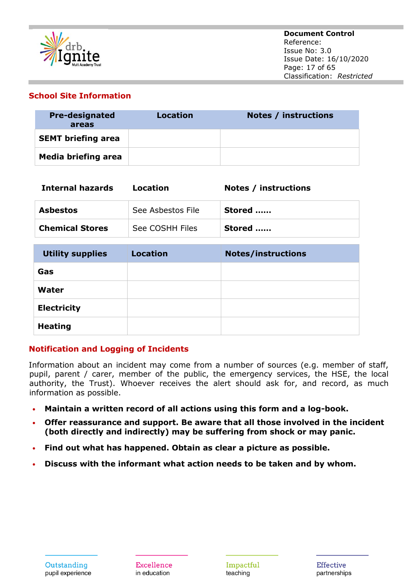

#### **School Site Information**

| <b>Pre-designated</b><br>areas | Location | Notes / instructions |
|--------------------------------|----------|----------------------|
| <b>SEMT briefing area</b>      |          |                      |
| <b>Media briefing area</b>     |          |                      |

| <b>Internal hazards</b> | <b>Location</b>   | <b>Notes / instructions</b> |
|-------------------------|-------------------|-----------------------------|
| <b>Asbestos</b>         | See Asbestos File | Stored                      |
| <b>Chemical Stores</b>  | See COSHH Files   | Stored                      |
|                         |                   |                             |
| <b>Utility supplies</b> | <b>Location</b>   | <b>Notes/instructions</b>   |
| Gas                     |                   |                             |
| Water                   |                   |                             |
| <b>Electricity</b>      |                   |                             |
| <b>Heating</b>          |                   |                             |

## **Notification and Logging of Incidents**

Information about an incident may come from a number of sources (e.g. member of staff, pupil, parent / carer, member of the public, the emergency services, the HSE, the local authority, the Trust). Whoever receives the alert should ask for, and record, as much information as possible.

- **Maintain a written record of all actions using this form and a log-book.**
- **Offer reassurance and support. Be aware that all those involved in the incident (both directly and indirectly) may be suffering from shock or may panic.**
- **Find out what has happened. Obtain as clear a picture as possible.**
- **Discuss with the informant what action needs to be taken and by whom.**

Excellence in education

Impactful teaching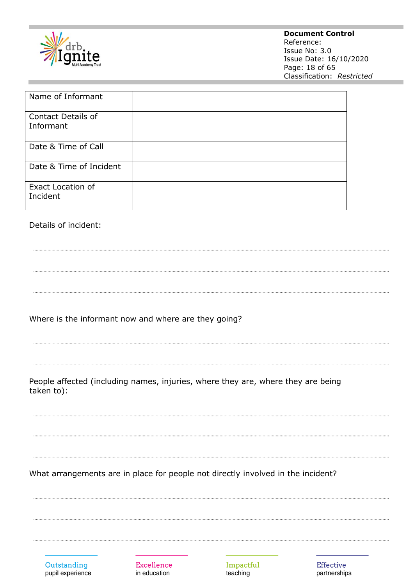

#### **Document Control**

Reference: Issue No: 3.0 Issue Date: 16/10/2020 Page: 18 of 65 Classification: *Restricted*

| Name of Informant                      |  |
|----------------------------------------|--|
| <b>Contact Details of</b><br>Informant |  |
| Date & Time of Call                    |  |
| Date & Time of Incident                |  |
| <b>Exact Location of</b><br>Incident   |  |

#### Details of incident:

Where is the informant now and where are they going?

People affected (including names, injuries, where they are, where they are being taken to):

What arrangements are in place for people not directly involved in the incident?

| Outstanding      |  |  |
|------------------|--|--|
| pupil experience |  |  |

Excellence in education

Impactful teaching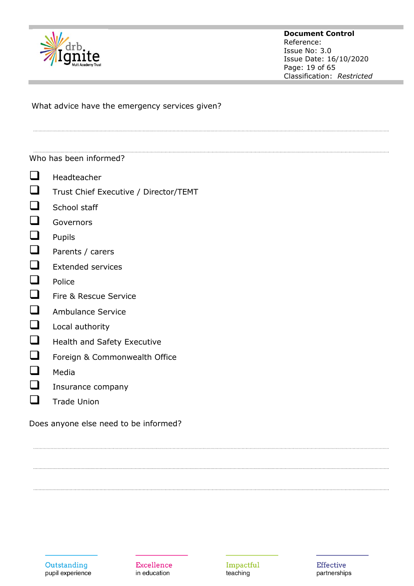

#### **Document Control** Reference: Issue No: 3.0 Issue Date: 16/10/2020 Page: 19 of 65 Classification: *Restricted*

What advice have the emergency services given?

#### Who has been informed?

- ❑ Headteacher
- ❑ Trust Chief Executive / Director/TEMT
- $\Box$  School staff
- ❑ Governors
- ❑ Pupils
- ❑ Parents / carers
- ❑ Extended services
- ❑ Police
- ❑ Fire & Rescue Service
- ❑ Ambulance Service
- ❑ Local authority
- □ Health and Safety Executive
- ❑ Foreign & Commonwealth Office
- ❑ Media
- $\Box$  Insurance company
- ❑ Trade Union

Does anyone else need to be informed?



Excellence in education

Impactful teaching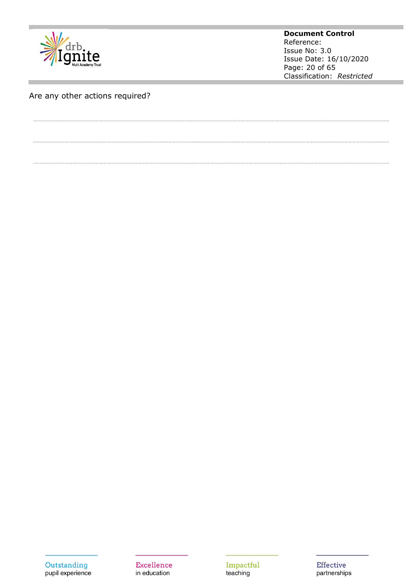

**Document Control** Reference: Issue No: 3.0 Issue Date: 16/10/2020 Page: 20 of 65 Classification: *Restricted*

# Are any other actions required?

Outstanding pupil experience

Excellence in education

Impactful teaching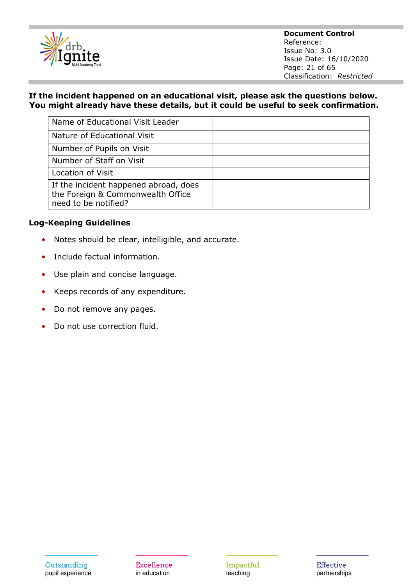

**Document Control** Reference: Issue No: 3.0 Issue Date: 16/10/2020 Page: 21 of 65 Classification: *Restricted*

#### **If the incident happened on an educational visit, please ask the questions below. You might already have these details, but it could be useful to seek confirmation.**

| Name of Educational Visit Leader                                                                   |  |
|----------------------------------------------------------------------------------------------------|--|
| Nature of Educational Visit                                                                        |  |
| Number of Pupils on Visit                                                                          |  |
| Number of Staff on Visit                                                                           |  |
| Location of Visit                                                                                  |  |
| If the incident happened abroad, does<br>the Foreign & Commonwealth Office<br>need to be notified? |  |

#### **Log-Keeping Guidelines**

- Notes should be clear, intelligible, and accurate.
- Include factual information.
- Use plain and concise language.
- Keeps records of any expenditure.
- Do not remove any pages.
- Do not use correction fluid.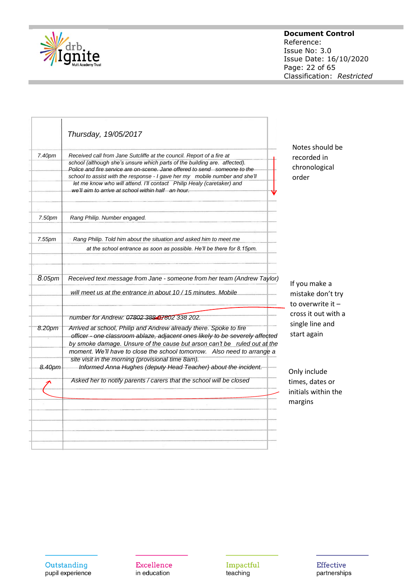

#### **Document Control**

Reference: Issue No: 3.0 Issue Date: 16/10/2020 Page: 22 of 65 Classification: *Restricted*

|        | Thursday, 19/05/2017                                                                                                                                                                                                          |
|--------|-------------------------------------------------------------------------------------------------------------------------------------------------------------------------------------------------------------------------------|
| 7.40pm | Received call from Jane Sutcliffe at the council. Report of a fire at                                                                                                                                                         |
|        | school (although she's unsure which parts of the building are. affected).                                                                                                                                                     |
|        | Police and fire service are on-scene. Jane offered to send someone to the                                                                                                                                                     |
|        | school to assist with the response - I gave her my mobile number and she'll                                                                                                                                                   |
|        | let me know who will attend. I'll contact Philip Healy (caretaker) and                                                                                                                                                        |
|        | we'll aim to arrive at school within half an hour.                                                                                                                                                                            |
| 7.50pm | Rang Philip. Number engaged.                                                                                                                                                                                                  |
| 7.55pm | Rang Philip. Told him about the situation and asked him to meet me                                                                                                                                                            |
|        | at the school entrance as soon as possible. He'll be there for 8.15pm.                                                                                                                                                        |
| 8.05pm | Received text message from Jane - someone from her team (Andrew Taylor)<br>will meet us at the entrance in about 10 / 15 minutes. Mobile                                                                                      |
|        | number for Andrew: 07802 38847802 338 202.                                                                                                                                                                                    |
| 8.20pm | Arrived at school, Philip and Andrew already there. Spoke to fire<br>officer - one classroom ablaze, adjacent ones likely to be severely affected<br>by smoke damage. Unsure of the cause but arson can't be ruled out at the |
|        | moment. We'll have to close the school tomorrow. Also need to arrange a                                                                                                                                                       |
|        | site visit in the morning (provisional time 8am).                                                                                                                                                                             |
| 8.40pm | Informed Anna Hughes (deputy Head Teacher) about the incident.                                                                                                                                                                |
|        | Asked her to notify parents / carers that the school will be closed                                                                                                                                                           |
|        |                                                                                                                                                                                                                               |
|        |                                                                                                                                                                                                                               |
|        |                                                                                                                                                                                                                               |
|        |                                                                                                                                                                                                                               |

Notes should be recorded in chronological order

If you make a mistake don't try to overwrite it – cross it out with a single line and start again

Only include times, dates or initials within the margins

Outstanding pupil experience Excellence in education

Impactful teaching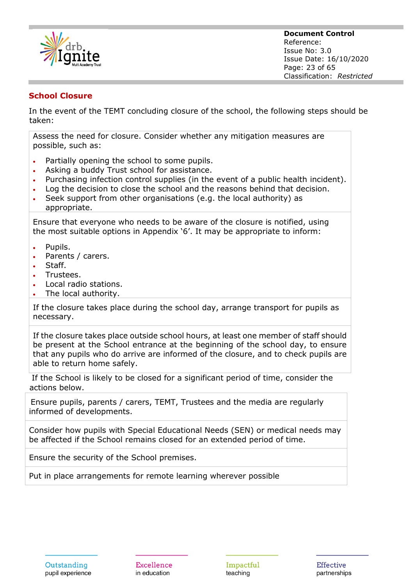

#### **School Closure**

In the event of the TEMT concluding closure of the school, the following steps should be taken:

Assess the need for closure. Consider whether any mitigation measures are possible, such as:

- Partially opening the school to some pupils.
- Asking a buddy Trust school for assistance.
- Purchasing infection control supplies (in the event of a public health incident).
- Log the decision to close the school and the reasons behind that decision.
- Seek support from other organisations (e.g. the local authority) as appropriate.

Ensure that everyone who needs to be aware of the closure is notified, using the most suitable options in Appendix '6'. It may be appropriate to inform:

- Pupils.
- Parents / carers.
- Staff.
- Trustees.
- Local radio stations.
- The local authority.

If the closure takes place during the school day, arrange transport for pupils as necessary.

If the closure takes place outside school hours, at least one member of staff should be present at the School entrance at the beginning of the school day, to ensure that any pupils who do arrive are informed of the closure, and to check pupils are able to return home safely.

If the School is likely to be closed for a significant period of time, consider the actions below.

Ensure pupils, parents / carers, TEMT, Trustees and the media are regularly informed of developments.

Consider how pupils with Special Educational Needs (SEN) or medical needs may be affected if the School remains closed for an extended period of time.

Ensure the security of the School premises.

Put in place arrangements for remote learning wherever possible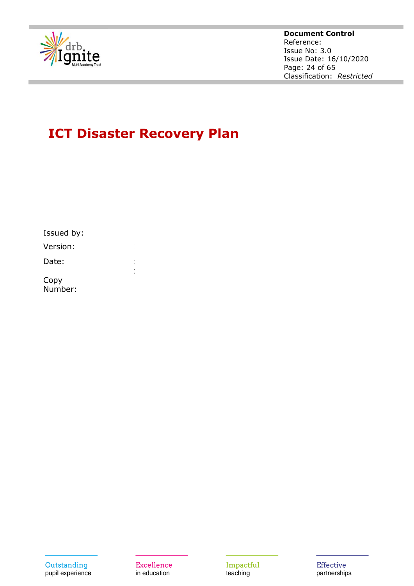

#### **Document Control** Reference: Issue No: 3.0 Issue Date: 16/10/2020 Page: 24 of 65 Classification: *Restricted*

# **ICT Disaster Recovery Plan**

| Issued by:      |  |
|-----------------|--|
| Version:        |  |
| Date:           |  |
| Copy<br>Number: |  |

Excellence in education

Impactful teaching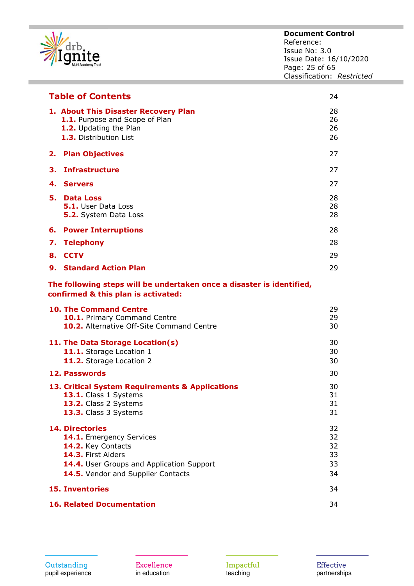

| <b>Table of Contents</b><br>24 |                                                                                                                                                                                   |                                  |
|--------------------------------|-----------------------------------------------------------------------------------------------------------------------------------------------------------------------------------|----------------------------------|
|                                | 1. About This Disaster Recovery Plan<br>1.1. Purpose and Scope of Plan<br>1.2. Updating the Plan<br>1.3. Distribution List                                                        | 28<br>26<br>26<br>26             |
| 2.                             | <b>Plan Objectives</b>                                                                                                                                                            | 27                               |
| З.                             | <b>Infrastructure</b>                                                                                                                                                             | 27                               |
|                                | 4. Servers                                                                                                                                                                        | 27                               |
| 5.                             | <b>Data Loss</b><br><b>5.1.</b> User Data Loss<br>5.2. System Data Loss                                                                                                           | 28<br>28<br>28                   |
| 6.                             | <b>Power Interruptions</b>                                                                                                                                                        | 28                               |
| 7.                             | <b>Telephony</b>                                                                                                                                                                  | 28                               |
| 8.                             | <b>CCTV</b>                                                                                                                                                                       | 29                               |
|                                | <b>9. Standard Action Plan</b>                                                                                                                                                    | 29                               |
|                                | The following steps will be undertaken once a disaster is identified,<br>confirmed & this plan is activated:                                                                      |                                  |
|                                | <b>10. The Command Centre</b><br>10.1. Primary Command Centre<br>10.2. Alternative Off-Site Command Centre                                                                        | 29<br>29<br>30                   |
|                                | 11. The Data Storage Location(s)<br>11.1. Storage Location 1<br>11.2. Storage Location 2                                                                                          | 30<br>30<br>30                   |
|                                | 12. Passwords                                                                                                                                                                     | 30                               |
|                                | 13. Critical System Requirements & Applications<br>13.1. Class 1 Systems<br>13.2. Class 2 Systems<br>13.3. Class 3 Systems                                                        | 30<br>31<br>31<br>31             |
|                                | <b>14. Directories</b><br>14.1. Emergency Services<br>14.2. Key Contacts<br>14.3. First Aiders<br>14.4. User Groups and Application Support<br>14.5. Vendor and Supplier Contacts | 32<br>32<br>32<br>33<br>33<br>34 |
|                                | <b>15. Inventories</b>                                                                                                                                                            | 34                               |
|                                | <b>16. Related Documentation</b>                                                                                                                                                  | 34                               |

Excellence in education

Impactful<br>teaching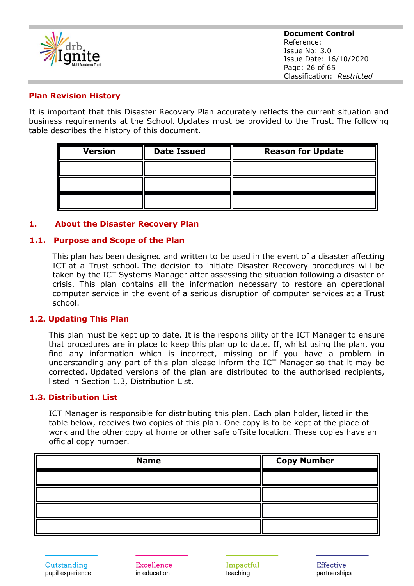

#### **Plan Revision History**

It is important that this Disaster Recovery Plan accurately reflects the current situation and business requirements at the School. Updates must be provided to the Trust. The following table describes the history of this document.

| <b>Version</b> | <b>Date Issued</b> | <b>Reason for Update</b> |
|----------------|--------------------|--------------------------|
|                |                    |                          |
|                |                    |                          |
|                |                    |                          |

#### **1. About the Disaster Recovery Plan**

#### **1.1. Purpose and Scope of the Plan**

This plan has been designed and written to be used in the event of a disaster affecting ICT at a Trust school. The decision to initiate Disaster Recovery procedures will be taken by the ICT Systems Manager after assessing the situation following a disaster or crisis. This plan contains all the information necessary to restore an operational computer service in the event of a serious disruption of computer services at a Trust school.

#### **1.2. Updating This Plan**

This plan must be kept up to date. It is the responsibility of the ICT Manager to ensure that procedures are in place to keep this plan up to date. If, whilst using the plan, you find any information which is incorrect, missing or if you have a problem in understanding any part of this plan please inform the ICT Manager so that it may be corrected. Updated versions of the plan are distributed to the authorised recipients, listed in Section 1.3, Distribution List.

#### **1.3. Distribution List**

ICT Manager is responsible for distributing this plan. Each plan holder, listed in the table below, receives two copies of this plan. One copy is to be kept at the place of work and the other copy at home or other safe offsite location. These copies have an official copy number.

| <b>Name</b> | <b>Copy Number</b> |
|-------------|--------------------|
|             |                    |
|             |                    |
|             |                    |
|             |                    |

Excellence in education

Impactful teaching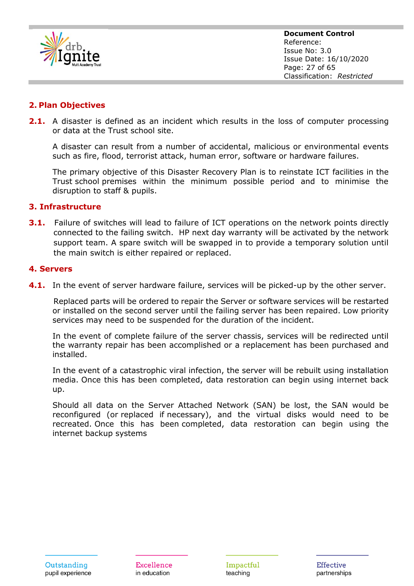

#### **2. Plan Objectives**

**2.1.** A disaster is defined as an incident which results in the loss of computer processing or data at the Trust school site.

A disaster can result from a number of accidental, malicious or environmental events such as fire, flood, terrorist attack, human error, software or hardware failures.

The primary objective of this Disaster Recovery Plan is to reinstate ICT facilities in the Trust school premises within the minimum possible period and to minimise the disruption to staff & pupils.

#### **3. Infrastructure**

**3.1.** Failure of switches will lead to failure of ICT operations on the network points directly connected to the failing switch. HP next day warranty will be activated by the network support team. A spare switch will be swapped in to provide a temporary solution until the main switch is either repaired or replaced.

#### **4. Servers**

**4.1.** In the event of server hardware failure, services will be picked-up by the other server.

Replaced parts will be ordered to repair the Server or software services will be restarted or installed on the second server until the failing server has been repaired. Low priority services may need to be suspended for the duration of the incident.

In the event of complete failure of the server chassis, services will be redirected until the warranty repair has been accomplished or a replacement has been purchased and installed.

In the event of a catastrophic viral infection, the server will be rebuilt using installation media. Once this has been completed, data restoration can begin using internet back up.

Should all data on the Server Attached Network (SAN) be lost, the SAN would be reconfigured (or replaced if necessary), and the virtual disks would need to be recreated. Once this has been completed, data restoration can begin using the internet backup systems

Excellence in education

Impactful teaching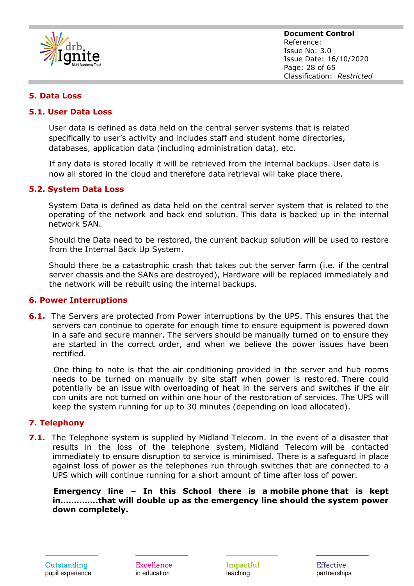

#### **5. Data Loss**

#### **5.1. User Data Loss**

User data is defined as data held on the central server systems that is related specifically to user's activity and includes staff and student home directories, databases, application data (including administration data), etc.

If any data is stored locally it will be retrieved from the internal backups. User data is now all stored in the cloud and therefore data retrieval will take place there.

#### **5.2. System Data Loss**

System Data is defined as data held on the central server system that is related to the operating of the network and back end solution. This data is backed up in the internal network SAN.

Should the Data need to be restored, the current backup solution will be used to restore from the Internal Back Up System.

Should there be a catastrophic crash that takes out the server farm (i.e. if the central server chassis and the SANs are destroyed), Hardware will be replaced immediately and the network will be rebuilt using the internal backups.

#### **6. Power Interruptions**

**6.1.** The Servers are protected from Power interruptions by the UPS. This ensures that the servers can continue to operate for enough time to ensure equipment is powered down in a safe and secure manner. The servers should be manually turned on to ensure they are started in the correct order, and when we believe the power issues have been rectified.

One thing to note is that the air conditioning provided in the server and hub rooms needs to be turned on manually by site staff when power is restored. There could potentially be an issue with overloading of heat in the servers and switches if the air con units are not turned on within one hour of the restoration of services. The UPS will keep the system running for up to 30 minutes (depending on load allocated).

#### **7. Telephony**

**7.1.** The Telephone system is supplied by Midland Telecom. In the event of a disaster that results in the loss of the telephone system, Midland Telecom will be contacted immediately to ensure disruption to service is minimised. There is a safeguard in place against loss of power as the telephones run through switches that are connected to a UPS which will continue running for a short amount of time after loss of power.

**Emergency line – In this School there is a mobile phone that is kept in…………..that will double up as the emergency line should the system power down completely.**

Excellence in education

Impactful teaching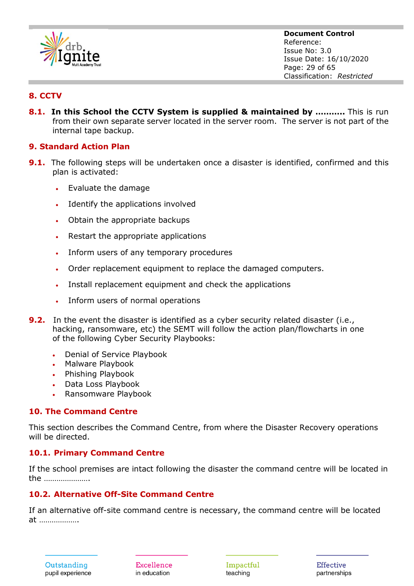

**Document Control** Reference: Issue No: 3.0 Issue Date: 16/10/2020 Page: 29 of 65 Classification: *Restricted*

## **8. CCTV**

**8.1. In this School the CCTV System is supplied & maintained by ………..** This is run from their own separate server located in the server room. The server is not part of the internal tape backup.

#### **9. Standard Action Plan**

- **9.1.** The following steps will be undertaken once a disaster is identified, confirmed and this plan is activated:
	- Evaluate the damage
	- Identify the applications involved
	- Obtain the appropriate backups
	- Restart the appropriate applications
	- Inform users of any temporary procedures
	- Order replacement equipment to replace the damaged computers.
	- Install replacement equipment and check the applications
	- Inform users of normal operations
- **9.2.** In the event the disaster is identified as a cyber security related disaster (i.e., hacking, ransomware, etc) the SEMT will follow the action plan/flowcharts in one of the following Cyber Security Playbooks:
	- Denial of Service Playbook
	- Malware Playbook
	- Phishing Playbook
	- Data Loss Playbook
	- Ransomware Playbook

#### **10. The Command Centre**

This section describes the Command Centre, from where the Disaster Recovery operations will be directed.

#### **10.1. Primary Command Centre**

If the school premises are intact following the disaster the command centre will be located in the ………………….

## **10.2. Alternative Off-Site Command Centre**

If an alternative off-site command centre is necessary, the command centre will be located at ……………….

Excellence in education

Impactful teaching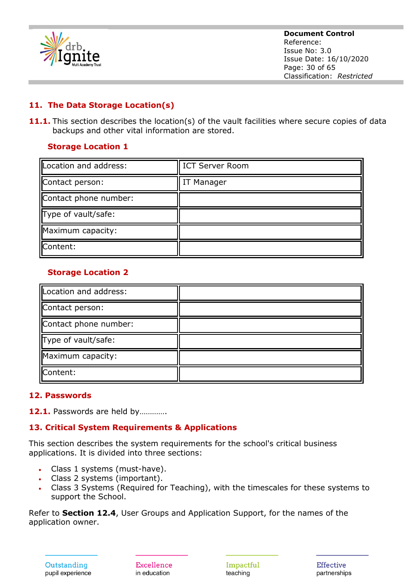

**Document Control** Reference: Issue No: 3.0 Issue Date: 16/10/2020 Page: 30 of 65 Classification: *Restricted*

## **11. The Data Storage Location(s)**

**11.1.** This section describes the location(s) of the vault facilities where secure copies of data backups and other vital information are stored.

## **Storage Location 1**

| Location and address: | <b>ICT Server Room</b> |
|-----------------------|------------------------|
| Contact person:       | IT Manager             |
| Contact phone number: |                        |
| Type of vault/safe:   |                        |
| Maximum capacity:     |                        |
| Content:              |                        |

## **Storage Location 2**

| Location and address: |  |
|-----------------------|--|
| Contact person:       |  |
| Contact phone number: |  |
| Type of vault/safe:   |  |
| Maximum capacity:     |  |
| Content:              |  |

## **12. Passwords**

**12.1.** Passwords are held by………….

## **13. Critical System Requirements & Applications**

This section describes the system requirements for the school's critical business applications. It is divided into three sections:

- Class 1 systems (must-have).
- Class 2 systems (important).
- Class 3 Systems (Required for Teaching), with the timescales for these systems to support the School.

Refer to **Section 12.4**, User Groups and Application Support, for the names of the application owner.

Excellence in education

Impactful teaching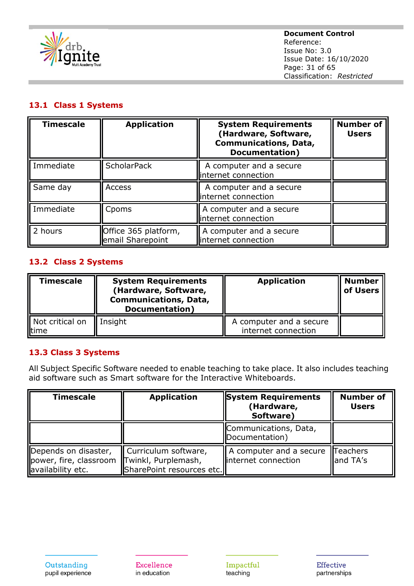

## **13.1 Class 1 Systems**

| <b>Timescale</b> | <b>Application</b>                       | <b>System Requirements</b><br>(Hardware, Software,<br><b>Communications, Data,</b><br><b>Documentation</b> ) | <b>Number of</b><br><b>Users</b> |
|------------------|------------------------------------------|--------------------------------------------------------------------------------------------------------------|----------------------------------|
| Immediate        | <b>ScholarPack</b>                       | A computer and a secure<br>internet connection                                                               |                                  |
| Same day         | Access                                   | A computer and a secure<br>internet connection                                                               |                                  |
| Immediate        | Cpoms                                    | A computer and a secure<br>internet connection                                                               |                                  |
| 2 hours          | Office 365 platform,<br>email Sharepoint | A computer and a secure<br>internet connection                                                               |                                  |

#### **13.2 Class 2 Systems**

| <b>Timescale</b>          | <b>System Requirements</b><br>(Hardware, Software,<br><b>Communications, Data,</b><br><b>Documentation</b> ) | <b>Application</b>                             | <b>Number</b><br>of Users |
|---------------------------|--------------------------------------------------------------------------------------------------------------|------------------------------------------------|---------------------------|
| Not critical on<br>lltime | Insight                                                                                                      | A computer and a secure<br>internet connection |                           |

#### **13.3 Class 3 Systems**

All Subject Specific Software needed to enable teaching to take place. It also includes teaching aid software such as Smart software for the Interactive Whiteboards.

| <b>Timescale</b>                                                    | <b>Application</b>                                                              | <b>System Requirements</b><br>(Hardware,<br>Software) | <b>Number of</b><br><b>Users</b> |
|---------------------------------------------------------------------|---------------------------------------------------------------------------------|-------------------------------------------------------|----------------------------------|
|                                                                     |                                                                                 | Communications, Data,<br>Documentation)               |                                  |
| Depends on disaster,<br>power, fire, classroom<br>availability etc. | Curriculum software,<br><b>Twinkl, Purplemash,</b><br>SharePoint resources etc. | A computer and a secure<br>linternet connection       | Teachers<br>and TA's             |

**Excellence** in education

 $\label{lem:1} {\rm Impactful}$ teaching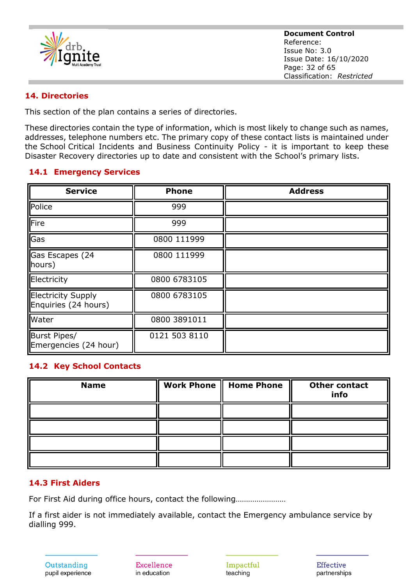

**Document Control** Reference: Issue No: 3.0 Issue Date: 16/10/2020 Page: 32 of 65 Classification: *Restricted*

#### **14. Directories**

This section of the plan contains a series of directories.

These directories contain the type of information, which is most likely to change such as names, addresses, telephone numbers etc. The primary copy of these contact lists is maintained under the School Critical Incidents and Business Continuity Policy - it is important to keep these Disaster Recovery directories up to date and consistent with the School's primary lists.

#### **14.1 Emergency Services**

| <b>Service</b>                             | <b>Phone</b>  | <b>Address</b> |
|--------------------------------------------|---------------|----------------|
| Police                                     | 999           |                |
| <b>IFire</b>                               | 999           |                |
| Gas                                        | 0800 111999   |                |
| Gas Escapes (24<br>hours)                  | 0800 111999   |                |
| Electricity                                | 0800 6783105  |                |
| Electricity Supply<br>Enquiries (24 hours) | 0800 6783105  |                |
| <b>Water</b>                               | 0800 3891011  |                |
| Burst Pipes/<br>Emergencies (24 hour)      | 0121 503 8110 |                |

#### **14.2 Key School Contacts**

| <b>Name</b> | Work Phone    Home Phone | <b>Other contact</b><br>info |
|-------------|--------------------------|------------------------------|
|             |                          |                              |
|             |                          |                              |
|             |                          |                              |
|             |                          |                              |

#### **14.3 First Aiders**

For First Aid during office hours, contact the following……………………

If a first aider is not immediately available, contact the Emergency ambulance service by dialling 999.

Outstanding pupil experience

Excellence in education

Impactful teaching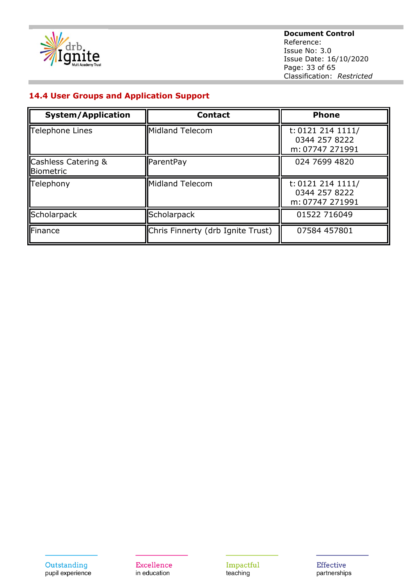

**Document Control** Reference: Issue No: 3.0 Issue Date: 16/10/2020 Page: 33 of 65 Classification: *Restricted*

#### **14.4 User Groups and Application Support**

| <b>System/Application</b>                   | <b>Contact</b>                    | <b>Phone</b>                                          |
|---------------------------------------------|-----------------------------------|-------------------------------------------------------|
| Telephone Lines                             | Midland Telecom                   | t: 0121 214 1111/<br>0344 257 8222<br>m: 07747 271991 |
| <b>Cashless Catering &amp;</b><br>Biometric | ParentPay                         | 024 7699 4820                                         |
| Telephony                                   | Midland Telecom                   | t: 0121 214 1111/<br>0344 257 8222<br>m: 07747 271991 |
| Scholarpack                                 | Scholarpack                       | 01522 716049                                          |
| Finance                                     | Chris Finnerty (drb Ignite Trust) | 07584 457801                                          |

Excellence in education

Impactful teaching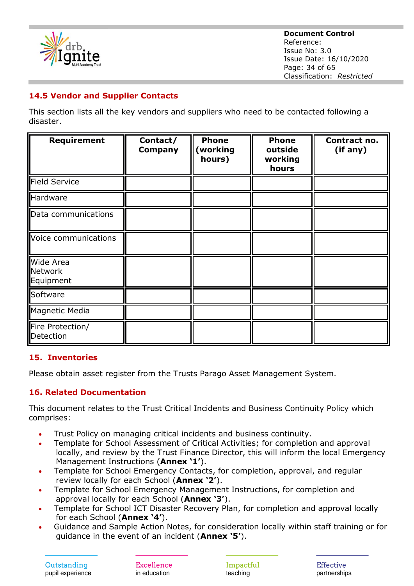

**Document Control** Reference: Issue No: 3.0 Issue Date: 16/10/2020 Page: 34 of 65 Classification: *Restricted*

## **14.5 Vendor and Supplier Contacts**

This section lists all the key vendors and suppliers who need to be contacted following a disaster.

| <b>Requirement</b>                       | Contact/<br><b>Company</b> | <b>Phone</b><br>(working<br>hours) | <b>Phone</b><br>outside<br>working<br>hours | Contract no.<br>(if any) |
|------------------------------------------|----------------------------|------------------------------------|---------------------------------------------|--------------------------|
| Field Service                            |                            |                                    |                                             |                          |
| Hardware                                 |                            |                                    |                                             |                          |
| Data communications                      |                            |                                    |                                             |                          |
| Voice communications                     |                            |                                    |                                             |                          |
| <b>Wide Area</b><br>Network<br>Equipment |                            |                                    |                                             |                          |
| Software                                 |                            |                                    |                                             |                          |
| Magnetic Media                           |                            |                                    |                                             |                          |
| Fire Protection/<br>Detection            |                            |                                    |                                             |                          |

#### **15. Inventories**

Please obtain asset register from the Trusts Parago Asset Management System.

## **16. Related Documentation**

This document relates to the Trust Critical Incidents and Business Continuity Policy which comprises:

- Trust Policy on managing critical incidents and business continuity.
- Template for School Assessment of Critical Activities; for completion and approval locally, and review by the Trust Finance Director, this will inform the local Emergency Management Instructions (**Annex '1'**).
- Template for School Emergency Contacts, for completion, approval, and regular review locally for each School (**Annex '2'**).
- Template for School Emergency Management Instructions, for completion and approval locally for each School (**Annex '3'**).
- Template for School ICT Disaster Recovery Plan, for completion and approval locally for each School (**Annex '4'**).
- Guidance and Sample Action Notes, for consideration locally within staff training or for guidance in the event of an incident (**Annex '5'**).

Excellence in education

Impactful teaching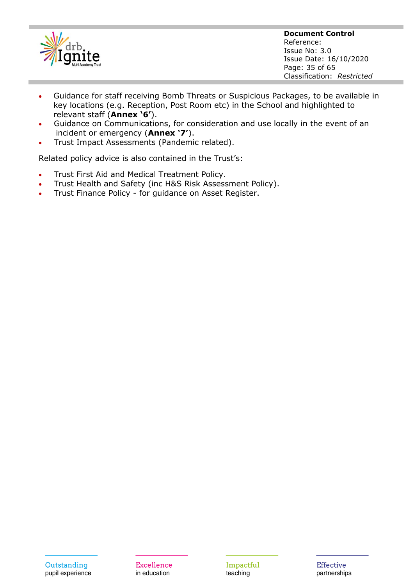

**Document Control** Reference: Issue No: 3.0 Issue Date: 16/10/2020 Page: 35 of 65 Classification: *Restricted*

- Guidance for staff receiving Bomb Threats or Suspicious Packages, to be available in key locations (e.g. Reception, Post Room etc) in the School and highlighted to relevant staff (**Annex '6'**).
- Guidance on Communications, for consideration and use locally in the event of an incident or emergency (**Annex '7'**).
- Trust Impact Assessments (Pandemic related).

Related policy advice is also contained in the Trust's:

- Trust First Aid and Medical Treatment Policy.
- Trust Health and Safety (inc H&S Risk Assessment Policy).
- Trust Finance Policy for guidance on Asset Register.

Impactful teaching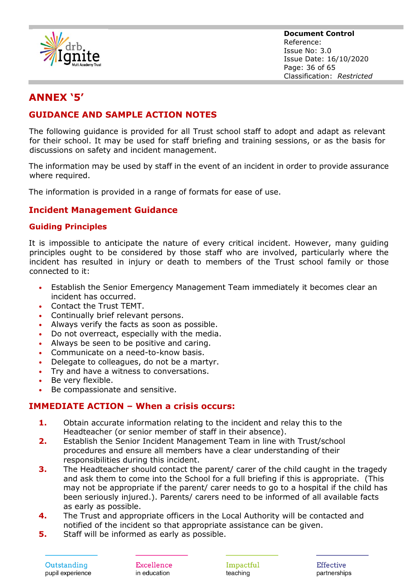

**Document Control** Reference: Issue No: 3.0 Issue Date: 16/10/2020 Page: 36 of 65 Classification: *Restricted*

# **ANNEX '5'**

## **GUIDANCE AND SAMPLE ACTION NOTES**

The following guidance is provided for all Trust school staff to adopt and adapt as relevant for their school. It may be used for staff briefing and training sessions, or as the basis for discussions on safety and incident management.

The information may be used by staff in the event of an incident in order to provide assurance where required.

The information is provided in a range of formats for ease of use.

## **Incident Management Guidance**

#### **Guiding Principles**

It is impossible to anticipate the nature of every critical incident. However, many guiding principles ought to be considered by those staff who are involved, particularly where the incident has resulted in injury or death to members of the Trust school family or those connected to it:

- Establish the Senior Emergency Management Team immediately it becomes clear an incident has occurred.
- Contact the Trust TEMT.
- Continually brief relevant persons.
- Always verify the facts as soon as possible.
- Do not overreact, especially with the media.
- Always be seen to be positive and caring.
- Communicate on a need-to-know basis.
- Delegate to colleagues, do not be a martyr.
- Try and have a witness to conversations.
- Be very flexible.
- Be compassionate and sensitive.

## **IMMEDIATE ACTION – When a crisis occurs:**

- **1.** Obtain accurate information relating to the incident and relay this to the Headteacher (or senior member of staff in their absence).
- **2.** Establish the Senior Incident Management Team in line with Trust/school procedures and ensure all members have a clear understanding of their responsibilities during this incident.
- **3.** The Headteacher should contact the parent/ carer of the child caught in the tragedy and ask them to come into the School for a full briefing if this is appropriate. (This may not be appropriate if the parent/ carer needs to go to a hospital if the child has been seriously injured.). Parents/ carers need to be informed of all available facts as early as possible.
- **4.** The Trust and appropriate officers in the Local Authority will be contacted and notified of the incident so that appropriate assistance can be given.
- **5.** Staff will be informed as early as possible.

Outstanding pupil experience Excellence in education

Impactful teaching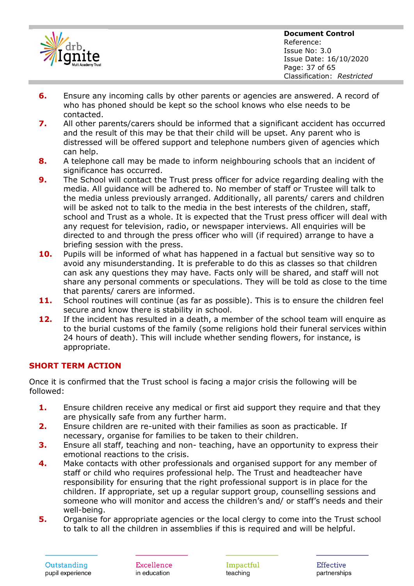

- **6.** Ensure any incoming calls by other parents or agencies are answered. A record of who has phoned should be kept so the school knows who else needs to be contacted.
- **7.** All other parents/carers should be informed that a significant accident has occurred and the result of this may be that their child will be upset. Any parent who is distressed will be offered support and telephone numbers given of agencies which can help.
- **8.** A telephone call may be made to inform neighbouring schools that an incident of significance has occurred.
- **9.** The School will contact the Trust press officer for advice regarding dealing with the media. All guidance will be adhered to. No member of staff or Trustee will talk to the media unless previously arranged. Additionally, all parents/ carers and children will be asked not to talk to the media in the best interests of the children, staff, school and Trust as a whole. It is expected that the Trust press officer will deal with any request for television, radio, or newspaper interviews. All enquiries will be directed to and through the press officer who will (if required) arrange to have a briefing session with the press.
- **10.** Pupils will be informed of what has happened in a factual but sensitive way so to avoid any misunderstanding. It is preferable to do this as classes so that children can ask any questions they may have. Facts only will be shared, and staff will not share any personal comments or speculations. They will be told as close to the time that parents/ carers are informed.
- 11. School routines will continue (as far as possible). This is to ensure the children feel secure and know there is stability in school.
- **12.** If the incident has resulted in a death, a member of the school team will enquire as to the burial customs of the family (some religions hold their funeral services within 24 hours of death). This will include whether sending flowers, for instance, is appropriate.

## **SHORT TERM ACTION**

Once it is confirmed that the Trust school is facing a major crisis the following will be followed:

- **1.** Ensure children receive any medical or first aid support they require and that they are physically safe from any further harm.
- **2.** Ensure children are re-united with their families as soon as practicable. If necessary, organise for families to be taken to their children.
- **3.** Ensure all staff, teaching and non- teaching, have an opportunity to express their emotional reactions to the crisis.
- **4.** Make contacts with other professionals and organised support for any member of staff or child who requires professional help. The Trust and headteacher have responsibility for ensuring that the right professional support is in place for the children. If appropriate, set up a regular support group, counselling sessions and someone who will monitor and access the children's and/ or staff's needs and their well-being.
- **5.** Organise for appropriate agencies or the local clergy to come into the Trust school to talk to all the children in assemblies if this is required and will be helpful.

Excellence in education

Impactful teaching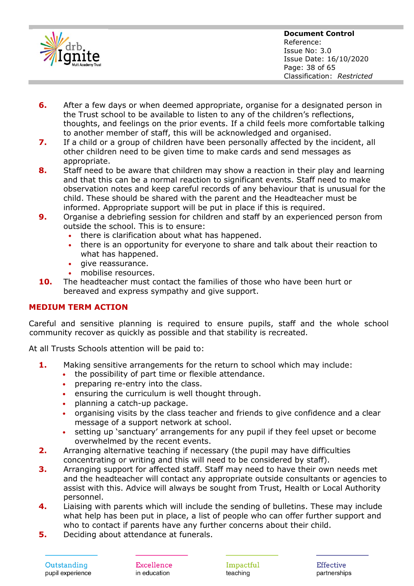

- **6.** After a few days or when deemed appropriate, organise for a designated person in the Trust school to be available to listen to any of the children's reflections, thoughts, and feelings on the prior events. If a child feels more comfortable talking to another member of staff, this will be acknowledged and organised.
- **7.** If a child or a group of children have been personally affected by the incident, all other children need to be given time to make cards and send messages as appropriate.
- **8.** Staff need to be aware that children may show a reaction in their play and learning and that this can be a normal reaction to significant events. Staff need to make observation notes and keep careful records of any behaviour that is unusual for the child. These should be shared with the parent and the Headteacher must be informed. Appropriate support will be put in place if this is required.
- **9.** Organise a debriefing session for children and staff by an experienced person from outside the school. This is to ensure:
	- there is clarification about what has happened.
	- there is an opportunity for everyone to share and talk about their reaction to what has happened.
	- qive reassurance.
	- mobilise resources.
- **10.** The headteacher must contact the families of those who have been hurt or bereaved and express sympathy and give support.

## **MEDIUM TERM ACTION**

Careful and sensitive planning is required to ensure pupils, staff and the whole school community recover as quickly as possible and that stability is recreated.

At all Trusts Schools attention will be paid to:

- **1.** Making sensitive arrangements for the return to school which may include:
	- the possibility of part time or flexible attendance.
	- preparing re-entry into the class.
	- ensuring the curriculum is well thought through.
	- planning a catch-up package.
	- organising visits by the class teacher and friends to give confidence and a clear message of a support network at school.
	- setting up 'sanctuary' arrangements for any pupil if they feel upset or become overwhelmed by the recent events.
- **2.** Arranging alternative teaching if necessary (the pupil may have difficulties concentrating or writing and this will need to be considered by staff).
- **3.** Arranging support for affected staff. Staff may need to have their own needs met and the headteacher will contact any appropriate outside consultants or agencies to assist with this. Advice will always be sought from Trust, Health or Local Authority personnel.
- **4.** Liaising with parents which will include the sending of bulletins. These may include what help has been put in place, a list of people who can offer further support and who to contact if parents have any further concerns about their child.
- **5.** Deciding about attendance at funerals.

Outstanding pupil experience Excellence in education

Impactful teaching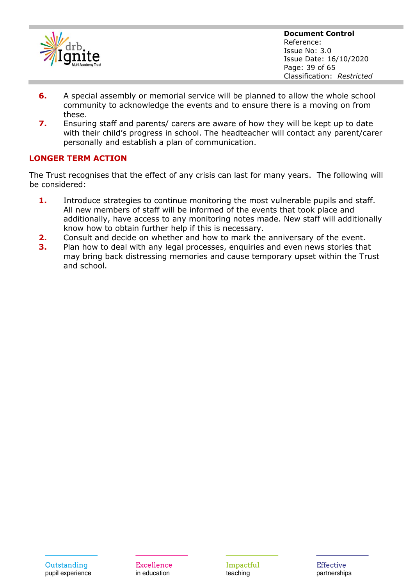

**Document Control** Reference: Issue No: 3.0 Issue Date: 16/10/2020 Page: 39 of 65 Classification: *Restricted*

- **6.** A special assembly or memorial service will be planned to allow the whole school community to acknowledge the events and to ensure there is a moving on from these.
- **7.** Ensuring staff and parents/ carers are aware of how they will be kept up to date with their child's progress in school. The headteacher will contact any parent/carer personally and establish a plan of communication.

#### **LONGER TERM ACTION**

The Trust recognises that the effect of any crisis can last for many years. The following will be considered:

- **1.** Introduce strategies to continue monitoring the most vulnerable pupils and staff. All new members of staff will be informed of the events that took place and additionally, have access to any monitoring notes made. New staff will additionally know how to obtain further help if this is necessary.
- **2.** Consult and decide on whether and how to mark the anniversary of the event.
- **3.** Plan how to deal with any legal processes, enquiries and even news stories that may bring back distressing memories and cause temporary upset within the Trust and school.

Impactful teaching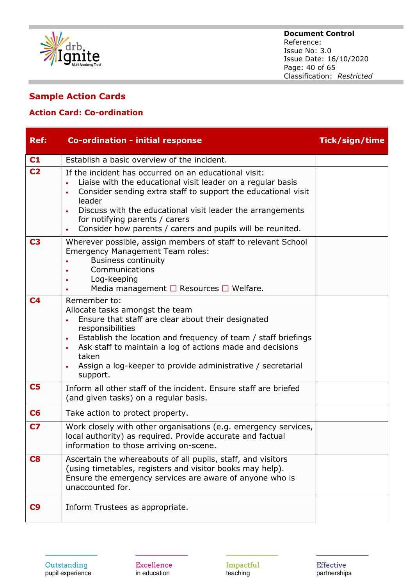

#### **Document Control** Reference: Issue No: 3.0 Issue Date: 16/10/2020 Page: 40 of 65 Classification: *Restricted*

## **Sample Action Cards**

## **Action Card: Co-ordination**

| <b>Ref:</b>    | <b>Co-ordination - initial response</b>                                                                                                                                                                                                                                                                                                                                                              | Tick/sign/time |
|----------------|------------------------------------------------------------------------------------------------------------------------------------------------------------------------------------------------------------------------------------------------------------------------------------------------------------------------------------------------------------------------------------------------------|----------------|
| C1             | Establish a basic overview of the incident.                                                                                                                                                                                                                                                                                                                                                          |                |
| C <sub>2</sub> | If the incident has occurred on an educational visit:<br>Liaise with the educational visit leader on a regular basis<br>$\bullet$<br>Consider sending extra staff to support the educational visit<br>$\bullet$<br>leader<br>Discuss with the educational visit leader the arrangements<br>for notifying parents / carers<br>Consider how parents / carers and pupils will be reunited.<br>$\bullet$ |                |
| C <sub>3</sub> | Wherever possible, assign members of staff to relevant School<br><b>Emergency Management Team roles:</b><br><b>Business continuity</b><br>Communications<br>Log-keeping<br>Media management $\Box$ Resources $\Box$ Welfare.                                                                                                                                                                         |                |
| C <sub>4</sub> | Remember to:<br>Allocate tasks amongst the team<br>Ensure that staff are clear about their designated<br>responsibilities<br>Establish the location and frequency of team / staff briefings<br>$\bullet$<br>Ask staff to maintain a log of actions made and decisions<br>taken<br>Assign a log-keeper to provide administrative / secretarial<br>support.                                            |                |
| C <sub>5</sub> | Inform all other staff of the incident. Ensure staff are briefed<br>(and given tasks) on a regular basis.                                                                                                                                                                                                                                                                                            |                |
| C6             | Take action to protect property.                                                                                                                                                                                                                                                                                                                                                                     |                |
| C <sub>7</sub> | Work closely with other organisations (e.g. emergency services,<br>local authority) as required. Provide accurate and factual<br>information to those arriving on-scene.                                                                                                                                                                                                                             |                |
| C8             | Ascertain the whereabouts of all pupils, staff, and visitors<br>(using timetables, registers and visitor books may help).<br>Ensure the emergency services are aware of anyone who is<br>unaccounted for.                                                                                                                                                                                            |                |
| C9             | Inform Trustees as appropriate.                                                                                                                                                                                                                                                                                                                                                                      |                |

Excellence in education

Impactful teaching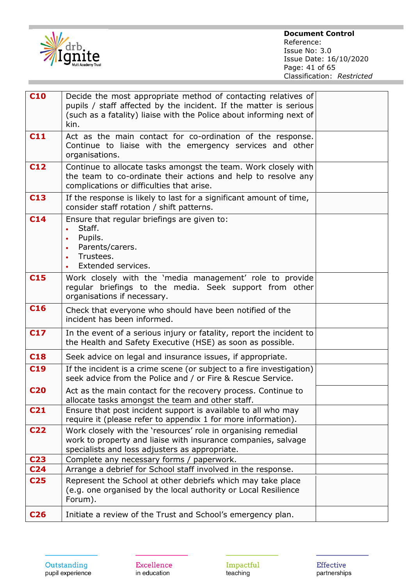

**Document Control** Reference: Issue No: 3.0 Issue Date: 16/10/2020 Page: 41 of 65 Classification: *Restricted*

| <b>C10</b>      | Decide the most appropriate method of contacting relatives of<br>pupils / staff affected by the incident. If the matter is serious<br>(such as a fatality) liaise with the Police about informing next of<br>kin. |  |
|-----------------|-------------------------------------------------------------------------------------------------------------------------------------------------------------------------------------------------------------------|--|
| C11             | Act as the main contact for co-ordination of the response.<br>Continue to liaise with the emergency services and other<br>organisations.                                                                          |  |
| C12             | Continue to allocate tasks amongst the team. Work closely with<br>the team to co-ordinate their actions and help to resolve any<br>complications or difficulties that arise.                                      |  |
| C <sub>13</sub> | If the response is likely to last for a significant amount of time,<br>consider staff rotation / shift patterns.                                                                                                  |  |
| C <sub>14</sub> | Ensure that regular briefings are given to:<br>Staff.<br>$\bullet$<br>Pupils.<br>$\bullet$<br>Parents/carers.<br>$\bullet$<br>Trustees.<br>$\bullet$<br>Extended services.                                        |  |
| C <sub>15</sub> | Work closely with the 'media management' role to provide<br>regular briefings to the media. Seek support from other<br>organisations if necessary.                                                                |  |
| C <sub>16</sub> | Check that everyone who should have been notified of the<br>incident has been informed.                                                                                                                           |  |
| <b>C17</b>      | In the event of a serious injury or fatality, report the incident to<br>the Health and Safety Executive (HSE) as soon as possible.                                                                                |  |
| <b>C18</b>      | Seek advice on legal and insurance issues, if appropriate.                                                                                                                                                        |  |
| C <sub>19</sub> | If the incident is a crime scene (or subject to a fire investigation)<br>seek advice from the Police and / or Fire & Rescue Service.                                                                              |  |
| <b>C20</b>      | Act as the main contact for the recovery process. Continue to<br>allocate tasks amongst the team and other staff.                                                                                                 |  |
| C <sub>21</sub> | Ensure that post incident support is available to all who may<br>require it (please refer to appendix 1 for more information).                                                                                    |  |
| <b>C22</b>      | Work closely with the 'resources' role in organising remedial<br>work to property and liaise with insurance companies, salvage<br>specialists and loss adjusters as appropriate.                                  |  |
| C <sub>23</sub> | Complete any necessary forms / paperwork.                                                                                                                                                                         |  |
| C <sub>24</sub> | Arrange a debrief for School staff involved in the response.                                                                                                                                                      |  |
| C <sub>25</sub> | Represent the School at other debriefs which may take place<br>(e.g. one organised by the local authority or Local Resilience<br>Forum).                                                                          |  |
| C <sub>26</sub> | Initiate a review of the Trust and School's emergency plan.                                                                                                                                                       |  |

Excellence in education

Impactful<br>teaching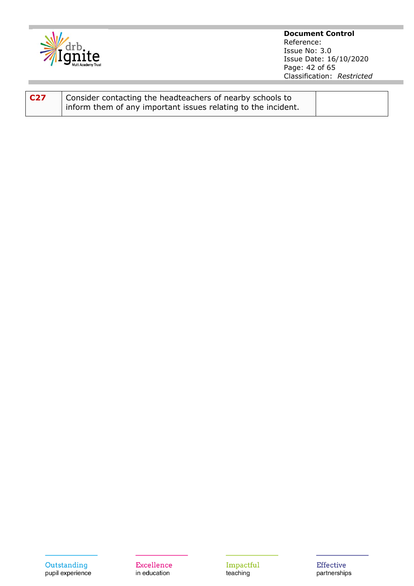

**Document Control** Reference: Issue No: 3.0 Issue Date: 16/10/2020 Page: 42 of 65 Classification: *Restricted*

| C27 | Consider contacting the headteachers of nearby schools to       |  |
|-----|-----------------------------------------------------------------|--|
|     | I inform them of any important issues relating to the incident. |  |

Excellence in education

Impactful<br>teaching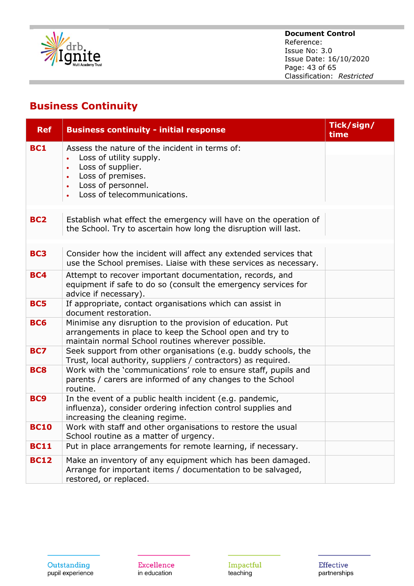

#### **Document Control** Reference: Issue No: 3.0 Issue Date: 16/10/2020 Page: 43 of 65 Classification: *Restricted*

# **Business Continuity**

| <b>Ref</b>      | <b>Business continuity - initial response</b>                                                                                                                                                                   | Tick/sign/<br>time |
|-----------------|-----------------------------------------------------------------------------------------------------------------------------------------------------------------------------------------------------------------|--------------------|
| <b>BC1</b>      | Assess the nature of the incident in terms of:<br>Loss of utility supply.<br>Loss of supplier.<br>$\bullet$<br>Loss of premises.<br>$\bullet$<br>Loss of personnel.<br>$\bullet$<br>Loss of telecommunications. |                    |
| BC <sub>2</sub> | Establish what effect the emergency will have on the operation of<br>the School. Try to ascertain how long the disruption will last.                                                                            |                    |
| BC <sub>3</sub> | Consider how the incident will affect any extended services that<br>use the School premises. Liaise with these services as necessary.                                                                           |                    |
| <b>BC4</b>      | Attempt to recover important documentation, records, and<br>equipment if safe to do so (consult the emergency services for<br>advice if necessary).                                                             |                    |
| <b>BC5</b>      | If appropriate, contact organisations which can assist in<br>document restoration.                                                                                                                              |                    |
| <b>BC6</b>      | Minimise any disruption to the provision of education. Put<br>arrangements in place to keep the School open and try to<br>maintain normal School routines wherever possible.                                    |                    |
| <b>BC7</b>      | Seek support from other organisations (e.g. buddy schools, the<br>Trust, local authority, suppliers / contractors) as required.                                                                                 |                    |
| <b>BC8</b>      | Work with the 'communications' role to ensure staff, pupils and<br>parents / carers are informed of any changes to the School<br>routine.                                                                       |                    |
| BC <sub>9</sub> | In the event of a public health incident (e.g. pandemic,<br>influenza), consider ordering infection control supplies and<br>increasing the cleaning regime.                                                     |                    |
| <b>BC10</b>     | Work with staff and other organisations to restore the usual<br>School routine as a matter of urgency.                                                                                                          |                    |
| <b>BC11</b>     | Put in place arrangements for remote learning, if necessary.                                                                                                                                                    |                    |
| <b>BC12</b>     | Make an inventory of any equipment which has been damaged.<br>Arrange for important items / documentation to be salvaged,<br>restored, or replaced.                                                             |                    |

Excellence in education

Impactful<br>teaching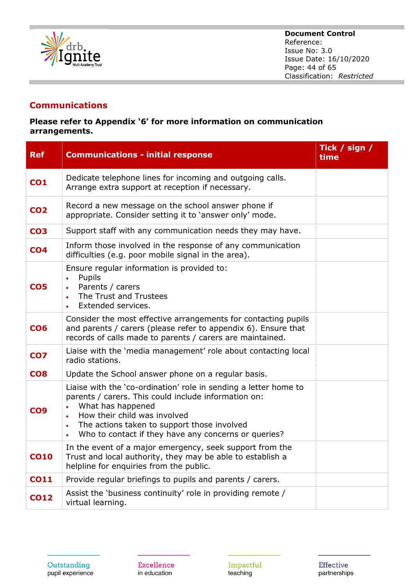

## **Communications**

#### **Please refer to Appendix '6' for more information on communication arrangements.**

| <b>Ref</b>      | <b>Communications - initial response</b>                                                                                                                                                                                                                                                                       | Tick / sign /<br>time |
|-----------------|----------------------------------------------------------------------------------------------------------------------------------------------------------------------------------------------------------------------------------------------------------------------------------------------------------------|-----------------------|
| <b>CO1</b>      | Dedicate telephone lines for incoming and outgoing calls.<br>Arrange extra support at reception if necessary.                                                                                                                                                                                                  |                       |
| <b>CO2</b>      | Record a new message on the school answer phone if<br>appropriate. Consider setting it to 'answer only' mode.                                                                                                                                                                                                  |                       |
| CO <sub>3</sub> | Support staff with any communication needs they may have.                                                                                                                                                                                                                                                      |                       |
| CO <sub>4</sub> | Inform those involved in the response of any communication<br>difficulties (e.g. poor mobile signal in the area).                                                                                                                                                                                              |                       |
| CO <sub>5</sub> | Ensure regular information is provided to:<br>Pupils<br>$\bullet$<br>Parents / carers<br>The Trust and Trustees<br>Extended services.                                                                                                                                                                          |                       |
| CO <sub>6</sub> | Consider the most effective arrangements for contacting pupils<br>and parents / carers (please refer to appendix 6). Ensure that<br>records of calls made to parents / carers are maintained.                                                                                                                  |                       |
| CO <sub>7</sub> | Liaise with the 'media management' role about contacting local<br>radio stations.                                                                                                                                                                                                                              |                       |
| CO <sub>8</sub> | Update the School answer phone on a regular basis.                                                                                                                                                                                                                                                             |                       |
| CO <sub>9</sub> | Liaise with the 'co-ordination' role in sending a letter home to<br>parents / carers. This could include information on:<br>What has happened<br>How their child was involved<br>$\bullet$<br>The actions taken to support those involved<br>$\bullet$<br>Who to contact if they have any concerns or queries? |                       |
| <b>CO10</b>     | In the event of a major emergency, seek support from the<br>Trust and local authority, they may be able to establish a<br>helpline for enguiries from the public.                                                                                                                                              |                       |
| <b>CO11</b>     | Provide regular briefings to pupils and parents / carers.                                                                                                                                                                                                                                                      |                       |
| <b>CO12</b>     | Assist the 'business continuity' role in providing remote /<br>virtual learning.                                                                                                                                                                                                                               |                       |

Excellence in education

Impactful teaching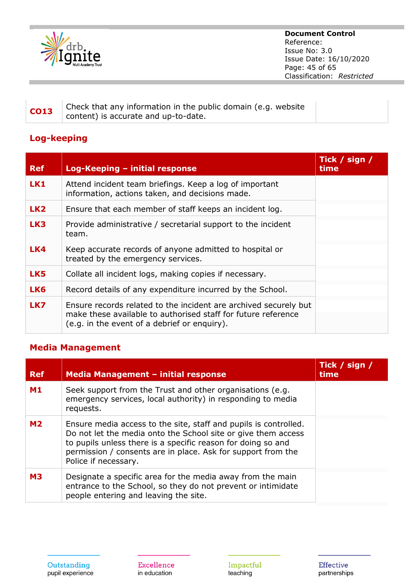

## **CO13** Check that any information in the public domain (e.g. website content) is accurate and up-to-date.

## **Log-keeping**

| <b>Ref</b>      | Log-Keeping - initial response                                                                                                                                                    | Tick / sign /<br>time |
|-----------------|-----------------------------------------------------------------------------------------------------------------------------------------------------------------------------------|-----------------------|
| LK1             | Attend incident team briefings. Keep a log of important<br>information, actions taken, and decisions made.                                                                        |                       |
| LK <sub>2</sub> | Ensure that each member of staff keeps an incident log.                                                                                                                           |                       |
| LK3             | Provide administrative / secretarial support to the incident<br>team.                                                                                                             |                       |
| LK4             | Keep accurate records of anyone admitted to hospital or<br>treated by the emergency services.                                                                                     |                       |
| LK5             | Collate all incident logs, making copies if necessary.                                                                                                                            |                       |
| LK6             | Record details of any expenditure incurred by the School.                                                                                                                         |                       |
| LK7             | Ensure records related to the incident are archived securely but<br>make these available to authorised staff for future reference<br>(e.g. in the event of a debrief or enguiry). |                       |

## **Media Management**

| <b>Ref</b> | Media Management - initial response                                                                                                                                                                                                                                                       | Tick / sign /<br>time |
|------------|-------------------------------------------------------------------------------------------------------------------------------------------------------------------------------------------------------------------------------------------------------------------------------------------|-----------------------|
| <b>M1</b>  | Seek support from the Trust and other organisations (e.g.<br>emergency services, local authority) in responding to media<br>requests.                                                                                                                                                     |                       |
| <b>M2</b>  | Ensure media access to the site, staff and pupils is controlled.<br>Do not let the media onto the School site or give them access<br>to pupils unless there is a specific reason for doing so and<br>permission / consents are in place. Ask for support from the<br>Police if necessary. |                       |
| <b>M3</b>  | Designate a specific area for the media away from the main<br>entrance to the School, so they do not prevent or intimidate<br>people entering and leaving the site.                                                                                                                       |                       |

Impactful teaching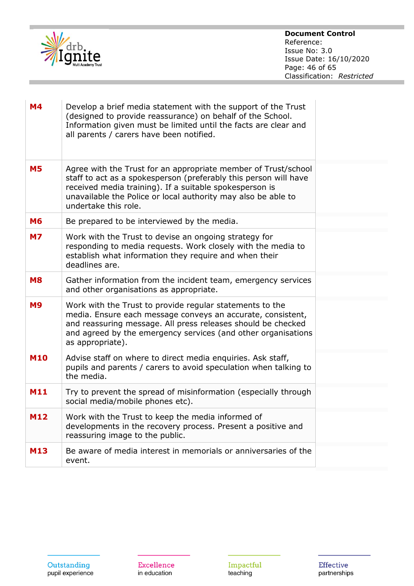

| <b>M4</b><br>Develop a brief media statement with the support of the Trust<br>(designed to provide reassurance) on behalf of the School.<br>Information given must be limited until the facts are clear and<br>all parents / carers have been notified.<br>Agree with the Trust for an appropriate member of Trust/school<br><b>M5</b><br>staff to act as a spokesperson (preferably this person will have<br>received media training). If a suitable spokesperson is<br>unavailable the Police or local authority may also be able to<br>undertake this role.<br><b>M6</b><br>Be prepared to be interviewed by the media.<br>Work with the Trust to devise an ongoing strategy for<br><b>M7</b><br>responding to media requests. Work closely with the media to<br>establish what information they require and when their<br>deadlines are.<br><b>M8</b><br>Gather information from the incident team, emergency services<br>and other organisations as appropriate.<br>Work with the Trust to provide regular statements to the<br><b>M9</b><br>media. Ensure each message conveys an accurate, consistent,<br>and reassuring message. All press releases should be checked<br>and agreed by the emergency services (and other organisations<br>as appropriate).<br><b>M10</b><br>Advise staff on where to direct media enquiries. Ask staff,<br>pupils and parents / carers to avoid speculation when talking to<br>the media.<br>Try to prevent the spread of misinformation (especially through<br><b>M11</b><br>social media/mobile phones etc).<br><b>M12</b><br>Work with the Trust to keep the media informed of<br>developments in the recovery process. Present a positive and<br>reassuring image to the public.<br>Be aware of media interest in memorials or anniversaries of the<br><b>M13</b><br>event. |  |  |
|-------------------------------------------------------------------------------------------------------------------------------------------------------------------------------------------------------------------------------------------------------------------------------------------------------------------------------------------------------------------------------------------------------------------------------------------------------------------------------------------------------------------------------------------------------------------------------------------------------------------------------------------------------------------------------------------------------------------------------------------------------------------------------------------------------------------------------------------------------------------------------------------------------------------------------------------------------------------------------------------------------------------------------------------------------------------------------------------------------------------------------------------------------------------------------------------------------------------------------------------------------------------------------------------------------------------------------------------------------------------------------------------------------------------------------------------------------------------------------------------------------------------------------------------------------------------------------------------------------------------------------------------------------------------------------------------------------------------------------------------------------------------------------------------------------------------------|--|--|
|                                                                                                                                                                                                                                                                                                                                                                                                                                                                                                                                                                                                                                                                                                                                                                                                                                                                                                                                                                                                                                                                                                                                                                                                                                                                                                                                                                                                                                                                                                                                                                                                                                                                                                                                                                                                                         |  |  |
|                                                                                                                                                                                                                                                                                                                                                                                                                                                                                                                                                                                                                                                                                                                                                                                                                                                                                                                                                                                                                                                                                                                                                                                                                                                                                                                                                                                                                                                                                                                                                                                                                                                                                                                                                                                                                         |  |  |
|                                                                                                                                                                                                                                                                                                                                                                                                                                                                                                                                                                                                                                                                                                                                                                                                                                                                                                                                                                                                                                                                                                                                                                                                                                                                                                                                                                                                                                                                                                                                                                                                                                                                                                                                                                                                                         |  |  |
|                                                                                                                                                                                                                                                                                                                                                                                                                                                                                                                                                                                                                                                                                                                                                                                                                                                                                                                                                                                                                                                                                                                                                                                                                                                                                                                                                                                                                                                                                                                                                                                                                                                                                                                                                                                                                         |  |  |
|                                                                                                                                                                                                                                                                                                                                                                                                                                                                                                                                                                                                                                                                                                                                                                                                                                                                                                                                                                                                                                                                                                                                                                                                                                                                                                                                                                                                                                                                                                                                                                                                                                                                                                                                                                                                                         |  |  |
|                                                                                                                                                                                                                                                                                                                                                                                                                                                                                                                                                                                                                                                                                                                                                                                                                                                                                                                                                                                                                                                                                                                                                                                                                                                                                                                                                                                                                                                                                                                                                                                                                                                                                                                                                                                                                         |  |  |
|                                                                                                                                                                                                                                                                                                                                                                                                                                                                                                                                                                                                                                                                                                                                                                                                                                                                                                                                                                                                                                                                                                                                                                                                                                                                                                                                                                                                                                                                                                                                                                                                                                                                                                                                                                                                                         |  |  |
|                                                                                                                                                                                                                                                                                                                                                                                                                                                                                                                                                                                                                                                                                                                                                                                                                                                                                                                                                                                                                                                                                                                                                                                                                                                                                                                                                                                                                                                                                                                                                                                                                                                                                                                                                                                                                         |  |  |
|                                                                                                                                                                                                                                                                                                                                                                                                                                                                                                                                                                                                                                                                                                                                                                                                                                                                                                                                                                                                                                                                                                                                                                                                                                                                                                                                                                                                                                                                                                                                                                                                                                                                                                                                                                                                                         |  |  |
|                                                                                                                                                                                                                                                                                                                                                                                                                                                                                                                                                                                                                                                                                                                                                                                                                                                                                                                                                                                                                                                                                                                                                                                                                                                                                                                                                                                                                                                                                                                                                                                                                                                                                                                                                                                                                         |  |  |

Excellence in education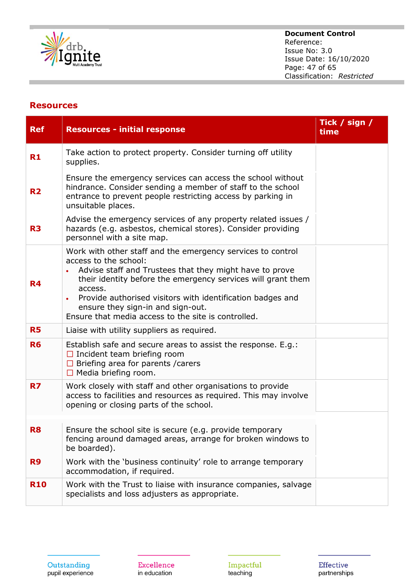

# **Document Control**

Reference: Issue No: 3.0 Issue Date: 16/10/2020 Page: 47 of 65 Classification: *Restricted*

## **Resources**

| <b>Ref</b>     | <b>Resources - initial response</b>                                                                                                                                                                                                                                                                                                                                                               | Tick / sign /<br>time |
|----------------|---------------------------------------------------------------------------------------------------------------------------------------------------------------------------------------------------------------------------------------------------------------------------------------------------------------------------------------------------------------------------------------------------|-----------------------|
| R1             | Take action to protect property. Consider turning off utility<br>supplies.                                                                                                                                                                                                                                                                                                                        |                       |
| R <sub>2</sub> | Ensure the emergency services can access the school without<br>hindrance. Consider sending a member of staff to the school<br>entrance to prevent people restricting access by parking in<br>unsuitable places.                                                                                                                                                                                   |                       |
| R <sub>3</sub> | Advise the emergency services of any property related issues /<br>hazards (e.g. asbestos, chemical stores). Consider providing<br>personnel with a site map.                                                                                                                                                                                                                                      |                       |
| R4             | Work with other staff and the emergency services to control<br>access to the school:<br>Advise staff and Trustees that they might have to prove<br>their identity before the emergency services will grant them<br>access.<br>Provide authorised visitors with identification badges and<br>$\bullet$<br>ensure they sign-in and sign-out.<br>Ensure that media access to the site is controlled. |                       |
| <b>R5</b>      | Liaise with utility suppliers as required.                                                                                                                                                                                                                                                                                                                                                        |                       |
| <b>R6</b>      | Establish safe and secure areas to assist the response. E.g.:<br>$\Box$ Incident team briefing room<br>$\Box$ Briefing area for parents / carers<br>$\Box$ Media briefing room.                                                                                                                                                                                                                   |                       |
| R7             | Work closely with staff and other organisations to provide<br>access to facilities and resources as required. This may involve<br>opening or closing parts of the school.                                                                                                                                                                                                                         |                       |
| R8             | Ensure the school site is secure (e.g. provide temporary<br>fencing around damaged areas, arrange for broken windows to<br>be boarded).                                                                                                                                                                                                                                                           |                       |
| R <sub>9</sub> | Work with the 'business continuity' role to arrange temporary<br>accommodation, if required.                                                                                                                                                                                                                                                                                                      |                       |
| <b>R10</b>     | Work with the Trust to liaise with insurance companies, salvage<br>specialists and loss adjusters as appropriate.                                                                                                                                                                                                                                                                                 |                       |

Excellence in education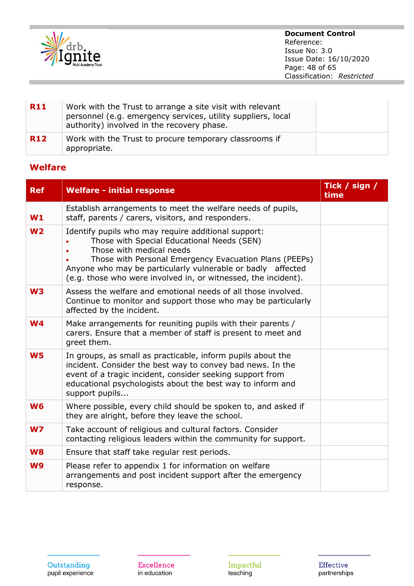

| <b>R11</b> | Work with the Trust to arrange a site visit with relevant<br>personnel (e.g. emergency services, utility suppliers, local<br>authority) involved in the recovery phase. |  |
|------------|-------------------------------------------------------------------------------------------------------------------------------------------------------------------------|--|
| <b>R12</b> | Work with the Trust to procure temporary classrooms if<br>appropriate.                                                                                                  |  |

## **Welfare**

| <b>Ref</b>     | <b>Welfare - initial response</b>                                                                                                                                                                                                                                                                                        | Tick / sign /<br>time |
|----------------|--------------------------------------------------------------------------------------------------------------------------------------------------------------------------------------------------------------------------------------------------------------------------------------------------------------------------|-----------------------|
| W1             | Establish arrangements to meet the welfare needs of pupils,<br>staff, parents / carers, visitors, and responders.                                                                                                                                                                                                        |                       |
| W <sub>2</sub> | Identify pupils who may require additional support:<br>Those with Special Educational Needs (SEN)<br>Those with medical needs<br>Those with Personal Emergency Evacuation Plans (PEEPs)<br>Anyone who may be particularly vulnerable or badly affected<br>(e.g. those who were involved in, or witnessed, the incident). |                       |
| W <sub>3</sub> | Assess the welfare and emotional needs of all those involved.<br>Continue to monitor and support those who may be particularly<br>affected by the incident.                                                                                                                                                              |                       |
| W <sub>4</sub> | Make arrangements for reuniting pupils with their parents /<br>carers. Ensure that a member of staff is present to meet and<br>greet them.                                                                                                                                                                               |                       |
| <b>W5</b>      | In groups, as small as practicable, inform pupils about the<br>incident. Consider the best way to convey bad news. In the<br>event of a tragic incident, consider seeking support from<br>educational psychologists about the best way to inform and<br>support pupils                                                   |                       |
| <b>W6</b>      | Where possible, every child should be spoken to, and asked if<br>they are alright, before they leave the school.                                                                                                                                                                                                         |                       |
| WZ             | Take account of religious and cultural factors. Consider<br>contacting religious leaders within the community for support.                                                                                                                                                                                               |                       |
| W <sub>8</sub> | Ensure that staff take regular rest periods.                                                                                                                                                                                                                                                                             |                       |
| <b>W9</b>      | Please refer to appendix 1 for information on welfare<br>arrangements and post incident support after the emergency<br>response.                                                                                                                                                                                         |                       |

Excellence in education

Impactful<br>teaching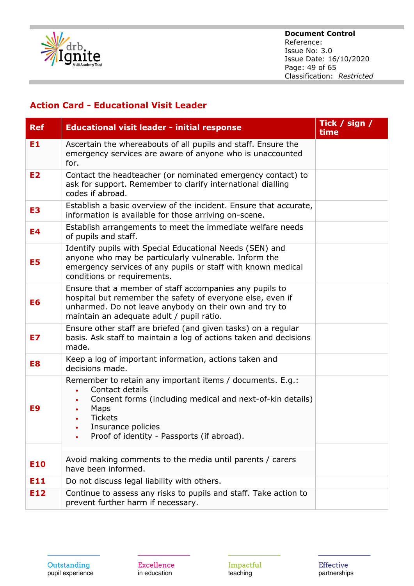

#### **Document Control** Reference: Issue No: 3.0 Issue Date: 16/10/2020 Page: 49 of 65 Classification: *Restricted*

## **Action Card - Educational Visit Leader**

| <b>Ref</b>     | <b>Educational visit leader - initial response</b>                                                                                                                                                                                      | Tick / sign /<br>time |
|----------------|-----------------------------------------------------------------------------------------------------------------------------------------------------------------------------------------------------------------------------------------|-----------------------|
| E1             | Ascertain the whereabouts of all pupils and staff. Ensure the<br>emergency services are aware of anyone who is unaccounted<br>for.                                                                                                      |                       |
| E2             | Contact the headteacher (or nominated emergency contact) to<br>ask for support. Remember to clarify international dialling<br>codes if abroad.                                                                                          |                       |
| E <sub>3</sub> | Establish a basic overview of the incident. Ensure that accurate,<br>information is available for those arriving on-scene.                                                                                                              |                       |
| E4             | Establish arrangements to meet the immediate welfare needs<br>of pupils and staff.                                                                                                                                                      |                       |
| E5             | Identify pupils with Special Educational Needs (SEN) and<br>anyone who may be particularly vulnerable. Inform the<br>emergency services of any pupils or staff with known medical<br>conditions or requirements.                        |                       |
| E6             | Ensure that a member of staff accompanies any pupils to<br>hospital but remember the safety of everyone else, even if<br>unharmed. Do not leave anybody on their own and try to<br>maintain an adequate adult / pupil ratio.            |                       |
| E7             | Ensure other staff are briefed (and given tasks) on a regular<br>basis. Ask staff to maintain a log of actions taken and decisions<br>made.                                                                                             |                       |
| E8             | Keep a log of important information, actions taken and<br>decisions made.                                                                                                                                                               |                       |
| E9             | Remember to retain any important items / documents. E.g.:<br>Contact details<br>Consent forms (including medical and next-of-kin details)<br>Maps<br><b>Tickets</b><br>Insurance policies<br>Proof of identity - Passports (if abroad). |                       |
|                |                                                                                                                                                                                                                                         |                       |
| E10            | Avoid making comments to the media until parents / carers<br>have been informed.                                                                                                                                                        |                       |
| E11            | Do not discuss legal liability with others.                                                                                                                                                                                             |                       |
| E12            | Continue to assess any risks to pupils and staff. Take action to<br>prevent further harm if necessary.                                                                                                                                  |                       |

Excellence in education

Impactful<br>teaching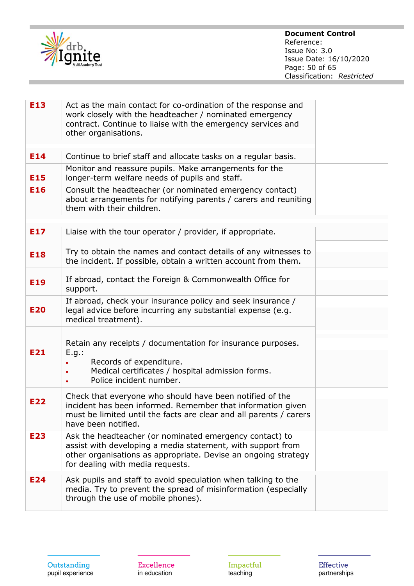

| E13        | Act as the main contact for co-ordination of the response and<br>work closely with the headteacher / nominated emergency<br>contract. Continue to liaise with the emergency services and<br>other organisations.             |  |
|------------|------------------------------------------------------------------------------------------------------------------------------------------------------------------------------------------------------------------------------|--|
| E14        | Continue to brief staff and allocate tasks on a regular basis.                                                                                                                                                               |  |
| E15        | Monitor and reassure pupils. Make arrangements for the<br>longer-term welfare needs of pupils and staff.                                                                                                                     |  |
| <b>E16</b> | Consult the headteacher (or nominated emergency contact)<br>about arrangements for notifying parents / carers and reuniting<br>them with their children.                                                                     |  |
| E17        | Liaise with the tour operator / provider, if appropriate.                                                                                                                                                                    |  |
| E18        | Try to obtain the names and contact details of any witnesses to<br>the incident. If possible, obtain a written account from them.                                                                                            |  |
| E19        | If abroad, contact the Foreign & Commonwealth Office for<br>support.                                                                                                                                                         |  |
| <b>E20</b> | If abroad, check your insurance policy and seek insurance /<br>legal advice before incurring any substantial expense (e.g.<br>medical treatment).                                                                            |  |
| E21        | Retain any receipts / documentation for insurance purposes.<br>E.g.:<br>Records of expenditure.<br>Medical certificates / hospital admission forms.<br>$\bullet$<br>Police incident number.                                  |  |
| E22        | Check that everyone who should have been notified of the<br>incident has been informed. Remember that information given<br>must be limited until the facts are clear and all parents / carers<br>have been notified.         |  |
| E23        | Ask the headteacher (or nominated emergency contact) to<br>assist with developing a media statement, with support from<br>other organisations as appropriate. Devise an ongoing strategy<br>for dealing with media requests. |  |
| E24        | Ask pupils and staff to avoid speculation when talking to the<br>media. Try to prevent the spread of misinformation (especially<br>through the use of mobile phones).                                                        |  |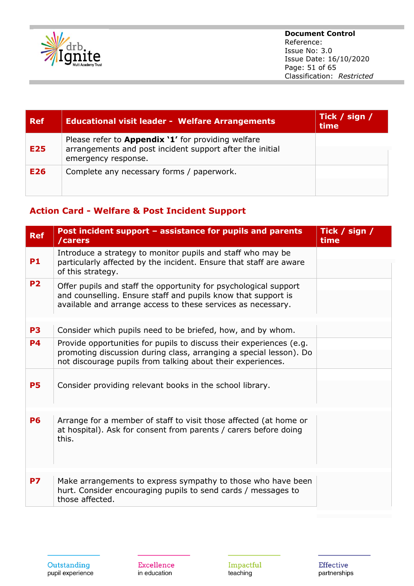

#### **Document Control** Reference: Issue No: 3.0 Issue Date: 16/10/2020 Page: 51 of 65 Classification: *Restricted*

| <b>Ref</b> | <b>Educational visit leader - Welfare Arrangements</b>                                                                                       | Tick / sign /<br>time |
|------------|----------------------------------------------------------------------------------------------------------------------------------------------|-----------------------|
| E25        | Please refer to <b>Appendix '1'</b> for providing welfare<br>arrangements and post incident support after the initial<br>emergency response. |                       |
| E26        | Complete any necessary forms / paperwork.                                                                                                    |                       |

## **Action Card - Welfare & Post Incident Support**

| <b>Ref</b> | Post incident support - assistance for pupils and parents<br>/carers                                                                                                                                     | Tick / sign /<br>time |
|------------|----------------------------------------------------------------------------------------------------------------------------------------------------------------------------------------------------------|-----------------------|
| <b>P1</b>  | Introduce a strategy to monitor pupils and staff who may be<br>particularly affected by the incident. Ensure that staff are aware<br>of this strategy.                                                   |                       |
| <b>P2</b>  | Offer pupils and staff the opportunity for psychological support<br>and counselling. Ensure staff and pupils know that support is<br>available and arrange access to these services as necessary.        |                       |
| <b>P3</b>  | Consider which pupils need to be briefed, how, and by whom.                                                                                                                                              |                       |
| <b>P4</b>  | Provide opportunities for pupils to discuss their experiences (e.g.<br>promoting discussion during class, arranging a special lesson). Do<br>not discourage pupils from talking about their experiences. |                       |
| <b>P5</b>  | Consider providing relevant books in the school library.                                                                                                                                                 |                       |
| <b>P6</b>  | Arrange for a member of staff to visit those affected (at home or<br>at hospital). Ask for consent from parents / carers before doing<br>this.                                                           |                       |
| <b>P7</b>  | Make arrangements to express sympathy to those who have been<br>hurt. Consider encouraging pupils to send cards / messages to<br>those affected.                                                         |                       |

Excellence in education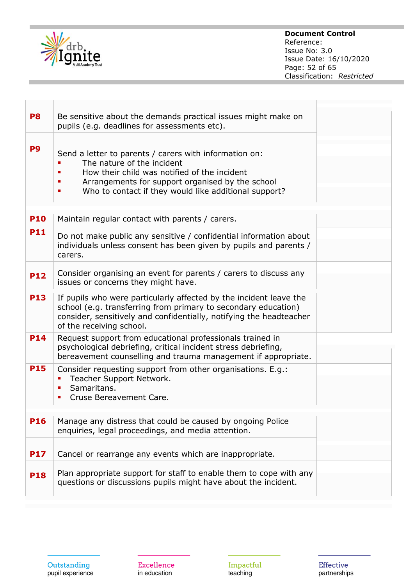

#### **Document Control** Reference: Issue No: 3.0 Issue Date: 16/10/2020 Page: 52 of 65 Classification: *Restricted*

| P <sub>8</sub> | Be sensitive about the demands practical issues might make on<br>pupils (e.g. deadlines for assessments etc).                                                                                                                                     |  |
|----------------|---------------------------------------------------------------------------------------------------------------------------------------------------------------------------------------------------------------------------------------------------|--|
| P <sub>9</sub> | Send a letter to parents / carers with information on:<br>The nature of the incident<br>How their child was notified of the incident<br>Arrangements for support organised by the school<br>Who to contact if they would like additional support? |  |
| <b>P10</b>     | Maintain regular contact with parents / carers.                                                                                                                                                                                                   |  |
| <b>P11</b>     | Do not make public any sensitive / confidential information about<br>individuals unless consent has been given by pupils and parents /<br>carers.                                                                                                 |  |
| <b>P12</b>     | Consider organising an event for parents / carers to discuss any<br>issues or concerns they might have.                                                                                                                                           |  |
| <b>P13</b>     | If pupils who were particularly affected by the incident leave the<br>school (e.g. transferring from primary to secondary education)<br>consider, sensitively and confidentially, notifying the headteacher<br>of the receiving school.           |  |
| <b>P14</b>     | Request support from educational professionals trained in<br>psychological debriefing, critical incident stress debriefing,<br>bereavement counselling and trauma management if appropriate.                                                      |  |
| <b>P15</b>     | Consider requesting support from other organisations. E.g.:<br>Teacher Support Network.<br>Samaritans.<br>п<br>Cruse Bereavement Care.                                                                                                            |  |
| <b>P16</b>     | Manage any distress that could be caused by ongoing Police<br>enquiries, legal proceedings, and media attention.                                                                                                                                  |  |
| <b>P17</b>     | Cancel or rearrange any events which are inappropriate.                                                                                                                                                                                           |  |
| <b>P18</b>     | Plan appropriate support for staff to enable them to cope with any<br>questions or discussions pupils might have about the incident.                                                                                                              |  |

Excellence in education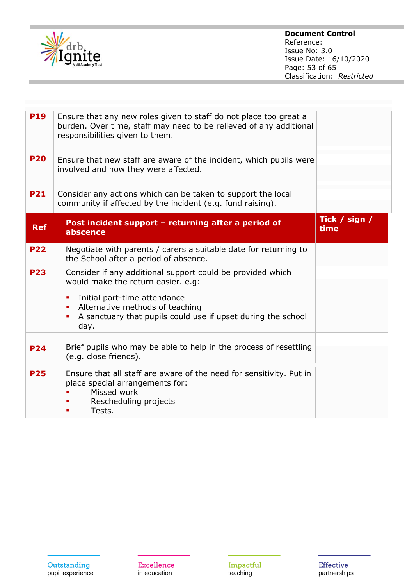

| <b>P19</b> | Ensure that any new roles given to staff do not place too great a<br>burden. Over time, staff may need to be relieved of any additional<br>responsibilities given to them.                                                                                              |                       |
|------------|-------------------------------------------------------------------------------------------------------------------------------------------------------------------------------------------------------------------------------------------------------------------------|-----------------------|
| <b>P20</b> | Ensure that new staff are aware of the incident, which pupils were<br>involved and how they were affected.                                                                                                                                                              |                       |
| <b>P21</b> | Consider any actions which can be taken to support the local<br>community if affected by the incident (e.g. fund raising).                                                                                                                                              |                       |
| <b>Ref</b> | Post incident support - returning after a period of<br>abscence                                                                                                                                                                                                         | Tick / sign /<br>time |
| <b>P22</b> | Negotiate with parents / carers a suitable date for returning to<br>the School after a period of absence.                                                                                                                                                               |                       |
| <b>P23</b> | Consider if any additional support could be provided which<br>would make the return easier. e.g:<br>Initial part-time attendance<br>٠<br>Alternative methods of teaching<br>$\blacksquare$<br>A sanctuary that pupils could use if upset during the school<br>п<br>day. |                       |
| <b>P24</b> | Brief pupils who may be able to help in the process of resettling<br>(e.g. close friends).                                                                                                                                                                              |                       |
| <b>P25</b> | Ensure that all staff are aware of the need for sensitivity. Put in<br>place special arrangements for:<br>Missed work<br>Rescheduling projects<br>Tests.                                                                                                                |                       |

Excellence in education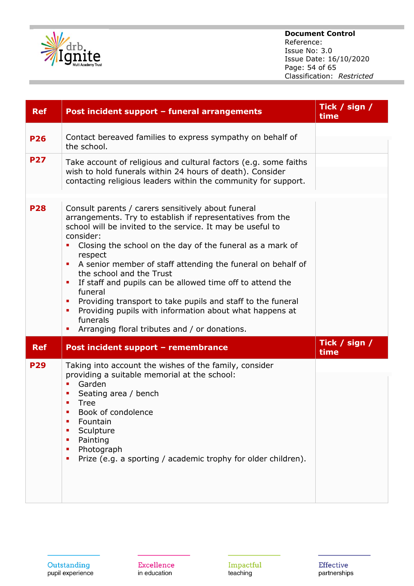

## **Document Control**

Reference: Issue No: 3.0 Issue Date: 16/10/2020 Page: 54 of 65 Classification: *Restricted*

| <b>Ref</b> | Post incident support - funeral arrangements                                                                                                                                                                                                                                                                                                                                                                                                                                                                                                                                                                                                           | Tick / $sign /$<br>time |
|------------|--------------------------------------------------------------------------------------------------------------------------------------------------------------------------------------------------------------------------------------------------------------------------------------------------------------------------------------------------------------------------------------------------------------------------------------------------------------------------------------------------------------------------------------------------------------------------------------------------------------------------------------------------------|-------------------------|
| <b>P26</b> | Contact bereaved families to express sympathy on behalf of<br>the school.                                                                                                                                                                                                                                                                                                                                                                                                                                                                                                                                                                              |                         |
| <b>P27</b> | Take account of religious and cultural factors (e.g. some faiths<br>wish to hold funerals within 24 hours of death). Consider<br>contacting religious leaders within the community for support.                                                                                                                                                                                                                                                                                                                                                                                                                                                        |                         |
| <b>P28</b> | Consult parents / carers sensitively about funeral<br>arrangements. Try to establish if representatives from the<br>school will be invited to the service. It may be useful to<br>consider:<br>Closing the school on the day of the funeral as a mark of<br>respect<br>A senior member of staff attending the funeral on behalf of<br>×<br>the school and the Trust<br>If staff and pupils can be allowed time off to attend the<br>×<br>funeral<br>Providing transport to take pupils and staff to the funeral<br>٠<br>Providing pupils with information about what happens at<br>п<br>funerals<br>Arranging floral tributes and / or donations.<br>п |                         |
| <b>Ref</b> | Post incident support - remembrance                                                                                                                                                                                                                                                                                                                                                                                                                                                                                                                                                                                                                    | Tick / sign /<br>time   |
| <b>P29</b> | Taking into account the wishes of the family, consider<br>providing a suitable memorial at the school:<br>Garden<br>Ē,<br>Seating area / bench<br>П<br>Tree<br>п<br>Book of condolence<br>Fountain<br>п<br>Sculpture<br>п<br>Painting<br>п<br>Photograph<br>п<br>Prize (e.g. a sporting / academic trophy for older children).<br>п                                                                                                                                                                                                                                                                                                                    |                         |

Excellence in education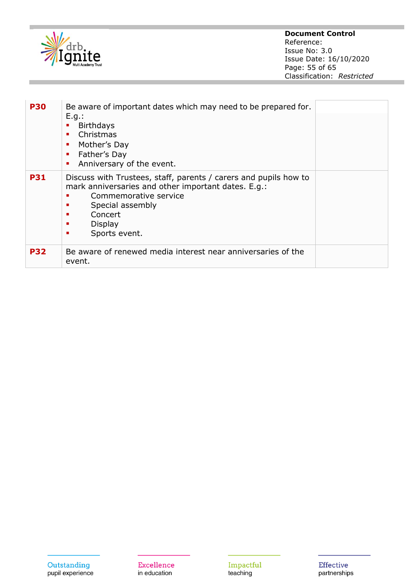

| <b>P30</b> | Be aware of important dates which may need to be prepared for.<br>E.g.:<br><b>Birthdays</b><br>Christmas<br>٠<br>Mother's Day<br>п<br>Father's Day<br>п<br>Anniversary of the event.<br>٠                                       |
|------------|---------------------------------------------------------------------------------------------------------------------------------------------------------------------------------------------------------------------------------|
| <b>P31</b> | Discuss with Trustees, staff, parents / carers and pupils how to<br>mark anniversaries and other important dates. E.g.:<br>Commemorative service<br>Special assembly<br>п<br>Concert<br>п<br>Display<br>п<br>Sports event.<br>п |
| <b>P32</b> | Be aware of renewed media interest near anniversaries of the<br>event.                                                                                                                                                          |

Impactful<br>teaching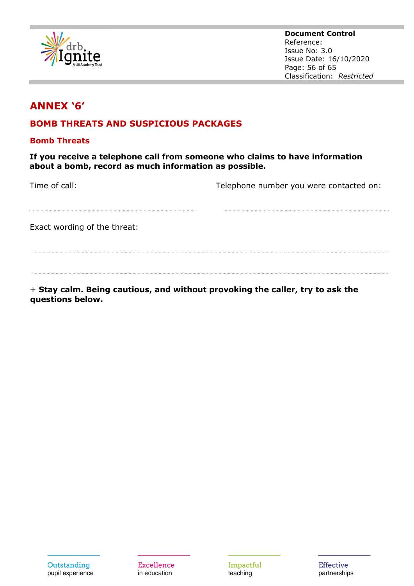

**Document Control** Reference: Issue No: 3.0 Issue Date: 16/10/2020 Page: 56 of 65 Classification: *Restricted*

# **ANNEX '6'**

## **BOMB THREATS AND SUSPICIOUS PACKAGES**

#### **Bomb Threats**

**If you receive a telephone call from someone who claims to have information about a bomb, record as much information as possible.** 

Time of call: Time of call: Telephone number you were contacted on:

Exact wording of the threat:

+ **Stay calm. Being cautious, and without provoking the caller, try to ask the questions below.** 

**Excellence** in education

Impactful teaching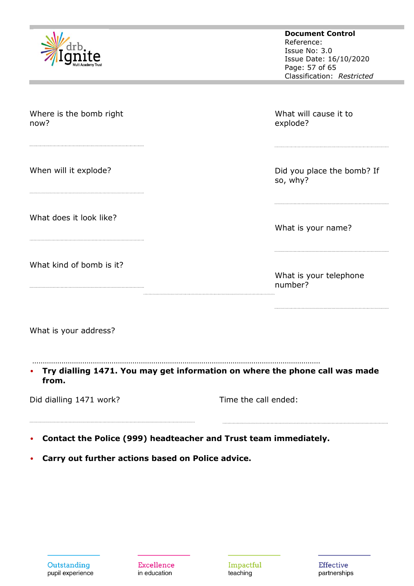|                                 | <b>Document Control</b><br>Reference:<br>Issue No: 3.0<br>Issue Date: 16/10/2020<br>Page: 57 of 65<br>Classification: Restricted |
|---------------------------------|----------------------------------------------------------------------------------------------------------------------------------|
| Where is the bomb right<br>now? | What will cause it to<br>explode?                                                                                                |
| When will it explode?           | Did you place the bomb? If<br>so, why?                                                                                           |
| What does it look like?         | What is your name?                                                                                                               |
| What kind of bomb is it?        | What is your telephone<br>number?                                                                                                |
| What is your address?           |                                                                                                                                  |
| from.                           | Try dialling 1471. You may get information on where the phone call was made                                                      |
| Did dialling 1471 work?         | Time the call ended:                                                                                                             |

• **Carry out further actions based on Police advice.** 

Excellence in education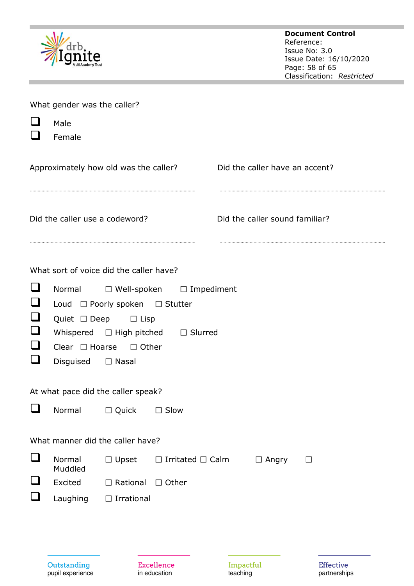|                           |                                                                    |                                                                                                                                                                         |                                     |                                |              | <b>Document Control</b><br>Reference:<br>Issue No: 3.0<br>Issue Date: 16/10/2020<br>Page: 58 of 65<br>Classification: Restricted |
|---------------------------|--------------------------------------------------------------------|-------------------------------------------------------------------------------------------------------------------------------------------------------------------------|-------------------------------------|--------------------------------|--------------|----------------------------------------------------------------------------------------------------------------------------------|
|                           | What gender was the caller?<br>Male<br>Female                      |                                                                                                                                                                         |                                     |                                |              |                                                                                                                                  |
|                           |                                                                    | Approximately how old was the caller?                                                                                                                                   |                                     | Did the caller have an accent? |              |                                                                                                                                  |
|                           | Did the caller use a codeword?                                     |                                                                                                                                                                         |                                     | Did the caller sound familiar? |              |                                                                                                                                  |
| ⊔<br>⊔                    | Quiet $\Box$ Deep<br>Whispered<br>Clear $\Box$ Hoarse<br>Disguised | What sort of voice did the caller have?<br>Normal □ Well-spoken<br>Loud □ Poorly spoken □ Stutter<br>$\Box$ Lisp<br>$\Box$ High pitched<br>$\Box$ Other<br>$\Box$ Nasal | $\Box$ Impediment<br>$\Box$ Slurred |                                |              |                                                                                                                                  |
| ⊔                         | Normal                                                             | At what pace did the caller speak?<br>□ Quick                                                                                                                           | $\Box$ Slow                         |                                |              |                                                                                                                                  |
| ⊔<br>$\sqcup$<br>$\sqcup$ | Normal<br>Muddled<br>Excited<br>Laughing                           | What manner did the caller have?<br>$\Box$ Upset<br>$\Box$ Rational $\Box$ Other<br>$\Box$ Irrational                                                                   | $\Box$ Irritated $\Box$ Calm        |                                | $\Box$ Angry | $\Box$                                                                                                                           |

Outstanding<br>pupil experience

Excellence in education

Impactful<br>teaching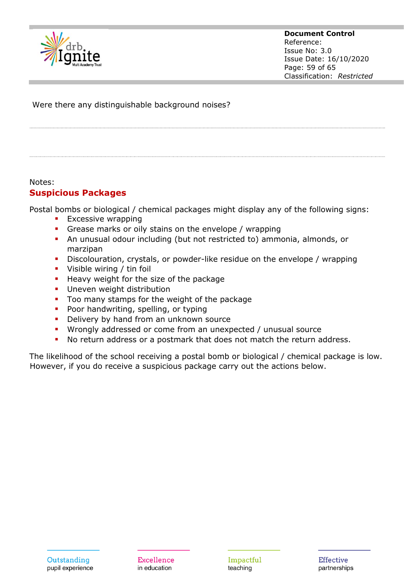

**Document Control** Reference: Issue No: 3.0 Issue Date: 16/10/2020 Page: 59 of 65 Classification: *Restricted*

Were there any distinguishable background noises?

#### Notes:

#### **Suspicious Packages**

Postal bombs or biological / chemical packages might display any of the following signs:

- **Excessive wrapping**
- **•** Grease marks or oily stains on the envelope / wrapping
- An unusual odour including (but not restricted to) ammonia, almonds, or marzipan
- **EXP** Discolouration, crystals, or powder-like residue on the envelope / wrapping
- **•** Visible wiring / tin foil
- Heavy weight for the size of the package
- **·** Uneven weight distribution
- Too many stamps for the weight of the package
- Poor handwriting, spelling, or typing
- **•** Delivery by hand from an unknown source
- Wrongly addressed or come from an unexpected / unusual source
- No return address or a postmark that does not match the return address.

The likelihood of the school receiving a postal bomb or biological / chemical package is low. However, if you do receive a suspicious package carry out the actions below.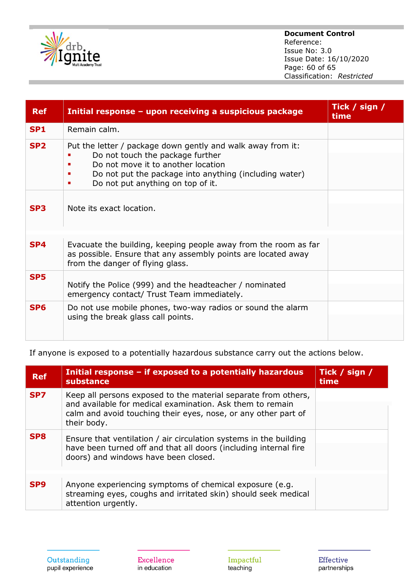

#### **Document Control** Reference: Issue No: 3.0 Issue Date: 16/10/2020 Page: 60 of 65 Classification: *Restricted*

| <b>Ref</b>      | Initial response - upon receiving a suspicious package                                                                                                                                                                                    | Tick / sign /<br>time |
|-----------------|-------------------------------------------------------------------------------------------------------------------------------------------------------------------------------------------------------------------------------------------|-----------------------|
| <b>SP1</b>      | Remain calm.                                                                                                                                                                                                                              |                       |
| SP <sub>2</sub> | Put the letter / package down gently and walk away from it:<br>Do not touch the package further<br>Do not move it to another location<br>Do not put the package into anything (including water)<br>Do not put anything on top of it.<br>٠ |                       |
| SP <sub>3</sub> | Note its exact location.                                                                                                                                                                                                                  |                       |
| SP <sub>4</sub> | Evacuate the building, keeping people away from the room as far<br>as possible. Ensure that any assembly points are located away<br>from the danger of flying glass.                                                                      |                       |
| SP <sub>5</sub> | Notify the Police (999) and the headteacher / nominated<br>emergency contact/ Trust Team immediately.                                                                                                                                     |                       |
| SP <sub>6</sub> | Do not use mobile phones, two-way radios or sound the alarm<br>using the break glass call points.                                                                                                                                         |                       |

If anyone is exposed to a potentially hazardous substance carry out the actions below.

| <b>Ref</b>      | Initial response - if exposed to a potentially hazardous<br>substance                                                                                                                                        | Tick / sign /<br>time |
|-----------------|--------------------------------------------------------------------------------------------------------------------------------------------------------------------------------------------------------------|-----------------------|
| SP7             | Keep all persons exposed to the material separate from others,<br>and available for medical examination. Ask them to remain<br>calm and avoid touching their eyes, nose, or any other part of<br>their body. |                       |
| SP <sub>8</sub> | Ensure that ventilation / air circulation systems in the building<br>have been turned off and that all doors (including internal fire<br>doors) and windows have been closed.                                |                       |
| SP <sub>9</sub> | Anyone experiencing symptoms of chemical exposure (e.g.<br>streaming eyes, coughs and irritated skin) should seek medical<br>attention urgently.                                                             |                       |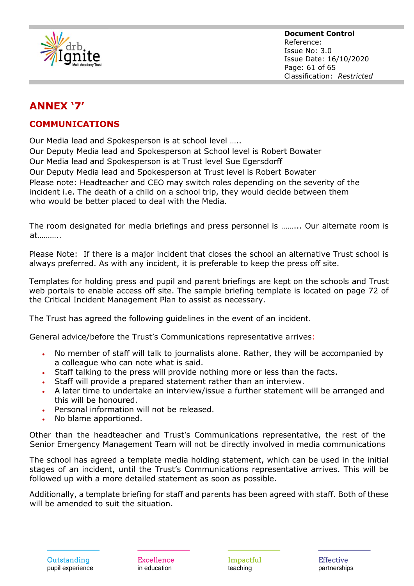

# **ANNEX '7'**

## **COMMUNICATIONS**

Our Media lead and Spokesperson is at school level …..

Our Deputy Media lead and Spokesperson at School level is Robert Bowater Our Media lead and Spokesperson is at Trust level Sue Egersdorff Our Deputy Media lead and Spokesperson at Trust level is Robert Bowater Please note: Headteacher and CEO may switch roles depending on the severity of the incident i.e. The death of a child on a school trip, they would decide between them who would be better placed to deal with the Media.

The room designated for media briefings and press personnel is ……... Our alternate room is at………..

Please Note: If there is a major incident that closes the school an alternative Trust school is always preferred. As with any incident, it is preferable to keep the press off site.

Templates for holding press and pupil and parent briefings are kept on the schools and Trust web portals to enable access off site. The sample briefing template is located on page 72 of the Critical Incident Management Plan to assist as necessary.

The Trust has agreed the following guidelines in the event of an incident.

General advice/before the Trust's Communications representative arrives:

- No member of staff will talk to journalists alone. Rather, they will be accompanied by a colleague who can note what is said.
- Staff talking to the press will provide nothing more or less than the facts.
- Staff will provide a prepared statement rather than an interview.
- A later time to undertake an interview/issue a further statement will be arranged and this will be honoured.
- Personal information will not be released.
- No blame apportioned.

Other than the headteacher and Trust's Communications representative, the rest of the Senior Emergency Management Team will not be directly involved in media communications

The school has agreed a template media holding statement, which can be used in the initial stages of an incident, until the Trust's Communications representative arrives. This will be followed up with a more detailed statement as soon as possible.

Additionally, a template briefing for staff and parents has been agreed with staff. Both of these will be amended to suit the situation.

**Excellence** in education

Impactful teaching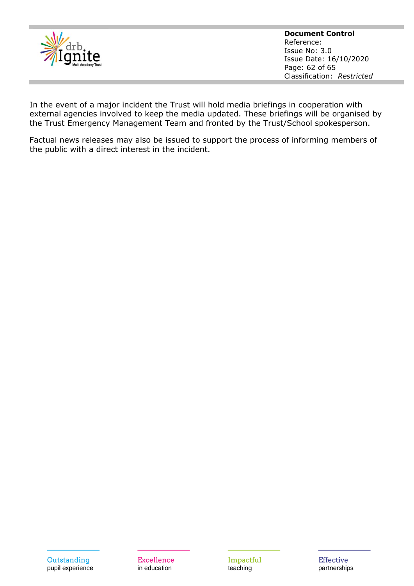

**Document Control** Reference: Issue No: 3.0 Issue Date: 16/10/2020 Page: 62 of 65 Classification: *Restricted*

In the event of a major incident the Trust will hold media briefings in cooperation with external agencies involved to keep the media updated. These briefings will be organised by the Trust Emergency Management Team and fronted by the Trust/School spokesperson.

Factual news releases may also be issued to support the process of informing members of the public with a direct interest in the incident.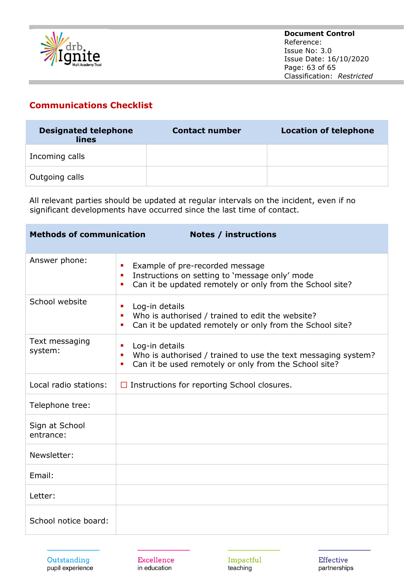

## **Communications Checklist**

| <b>Designated telephone</b><br>lines | <b>Contact number</b> | <b>Location of telephone</b> |
|--------------------------------------|-----------------------|------------------------------|
| Incoming calls                       |                       |                              |
| Outgoing calls                       |                       |                              |

All relevant parties should be updated at regular intervals on the incident, even if no significant developments have occurred since the last time of contact.

| <b>Methods of communication</b><br><b>Notes / instructions</b> |                                                                                                                                                              |  |  |
|----------------------------------------------------------------|--------------------------------------------------------------------------------------------------------------------------------------------------------------|--|--|
| Answer phone:                                                  | Example of pre-recorded message<br>٠<br>Instructions on setting to 'message only' mode<br>п<br>Can it be updated remotely or only from the School site?<br>٠ |  |  |
| School website                                                 | Log-in details<br>٠<br>Who is authorised / trained to edit the website?<br>п<br>Can it be updated remotely or only from the School site?<br>٠                |  |  |
| Text messaging<br>system:                                      | Log-in details<br>٠<br>Who is authorised / trained to use the text messaging system?<br>п<br>Can it be used remotely or only from the School site?<br>٠      |  |  |
| Local radio stations:                                          | $\Box$ Instructions for reporting School closures.                                                                                                           |  |  |
| Telephone tree:                                                |                                                                                                                                                              |  |  |
| Sign at School<br>entrance:                                    |                                                                                                                                                              |  |  |
| Newsletter:                                                    |                                                                                                                                                              |  |  |
| Email:                                                         |                                                                                                                                                              |  |  |
| Letter:                                                        |                                                                                                                                                              |  |  |
| School notice board:                                           |                                                                                                                                                              |  |  |

Outstanding pupil experience

**Excellence** in education

Impactful teaching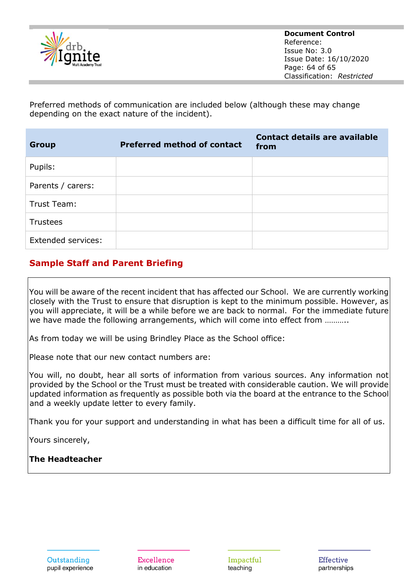

Preferred methods of communication are included below (although these may change depending on the exact nature of the incident).

| <b>Group</b>              | <b>Preferred method of contact</b> | <b>Contact details are available</b><br>from |
|---------------------------|------------------------------------|----------------------------------------------|
| Pupils:                   |                                    |                                              |
| Parents / carers:         |                                    |                                              |
| Trust Team:               |                                    |                                              |
| Trustees                  |                                    |                                              |
| <b>Extended services:</b> |                                    |                                              |

## **Sample Staff and Parent Briefing**

You will be aware of the recent incident that has affected our School. We are currently working closely with the Trust to ensure that disruption is kept to the minimum possible. However, as you will appreciate, it will be a while before we are back to normal. For the immediate future we have made the following arrangements, which will come into effect from ..........

As from today we will be using Brindley Place as the School office:

Please note that our new contact numbers are:

You will, no doubt, hear all sorts of information from various sources. Any information not provided by the School or the Trust must be treated with considerable caution. We will provide updated information as frequently as possible both via the board at the entrance to the School and a weekly update letter to every family.

Thank you for your support and understanding in what has been a difficult time for all of us.

Yours sincerely,

**The Headteacher**